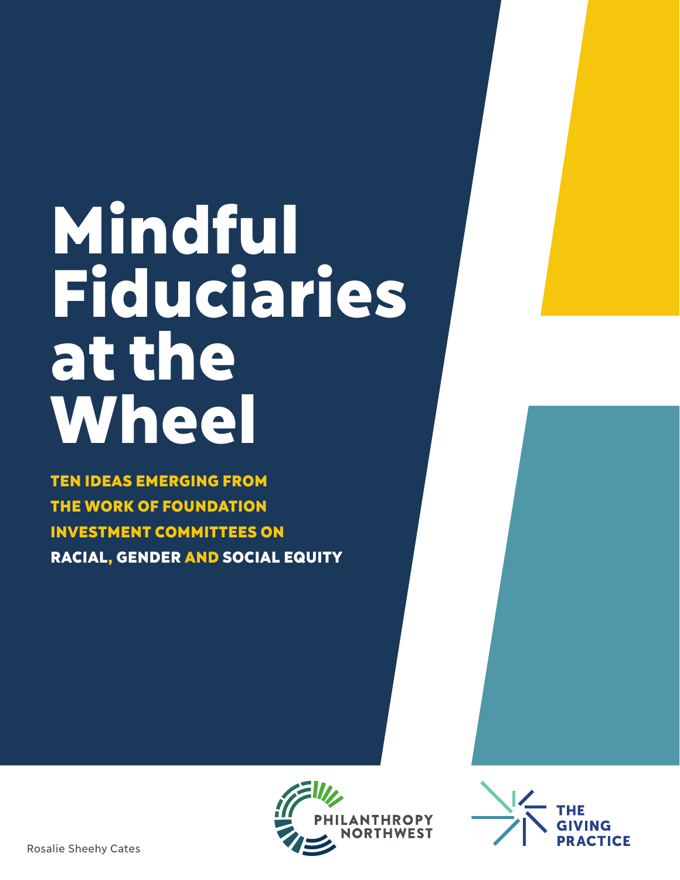# Mindful Fiduciaries at the Wheel

TEN IDEAS EMERGING FROM THE WORK OF FOUNDATION INVESTMENT COMMITTEES ON RACIAL, GENDER AND SOCIAL EQUITY



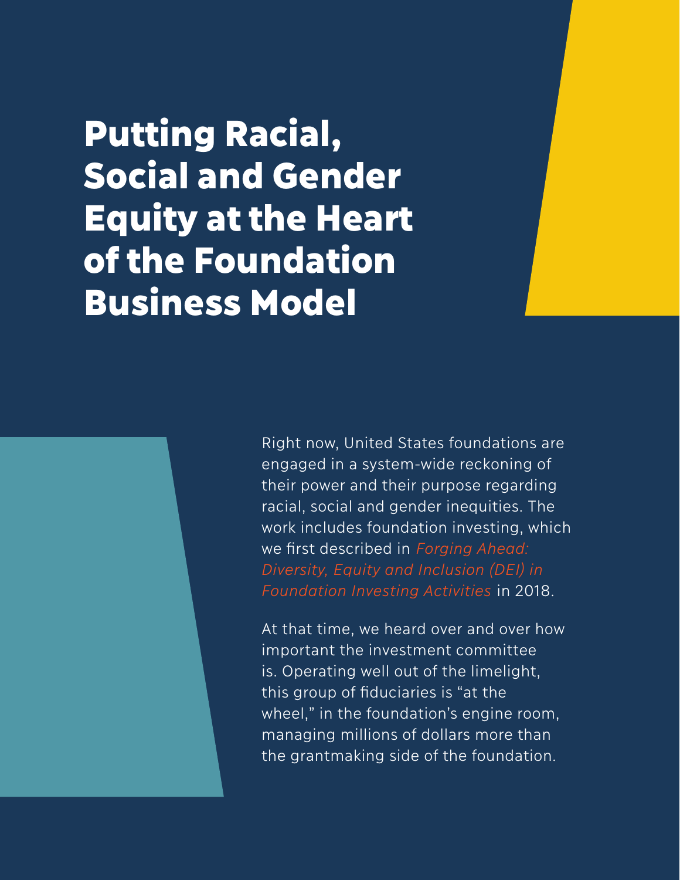Putting Racial, Social and Gender Equity at the Heart of the Foundation Business Model

> Right now, United States foundations are engaged in a system-wide reckoning of their power and their purpose regarding racial, social and gender inequities. The work includes foundation investing, which we first described in *Forging Ahead: Diversity, Equity and Inclusion (DEI) in Foundation Investing Activities* in 2018.

At that time, we heard over and over how important the investment committee is. Operating well out of the limelight, this group of fiduciaries is "at the wheel," in the foundation's engine room, managing millions of dollars more than the grantmaking side of the foundation.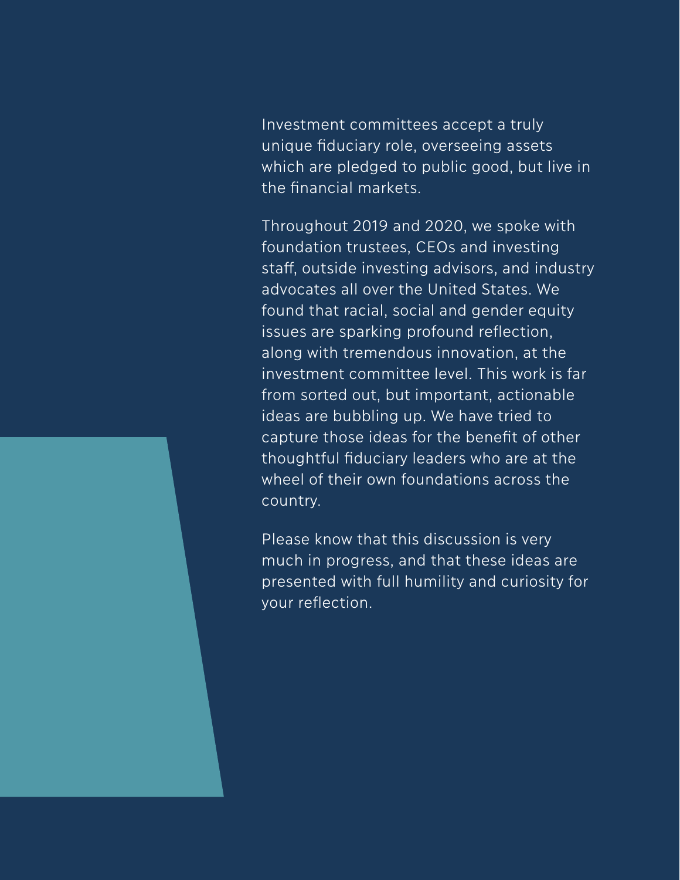Investment committees accept a truly unique fiduciary role, overseeing assets which are pledged to public good, but live in the financial markets.

Throughout 2019 and 2020, we spoke with foundation trustees, CEOs and investing staff, outside investing advisors, and industry advocates all over the United States. We found that racial, social and gender equity issues are sparking profound reflection, along with tremendous innovation, at the investment committee level. This work is far from sorted out, but important, actionable ideas are bubbling up. We have tried to capture those ideas for the benefit of other thoughtful fiduciary leaders who are at the wheel of their own foundations across the country.

Please know that this discussion is very much in progress, and that these ideas are presented with full humility and curiosity for your reflection.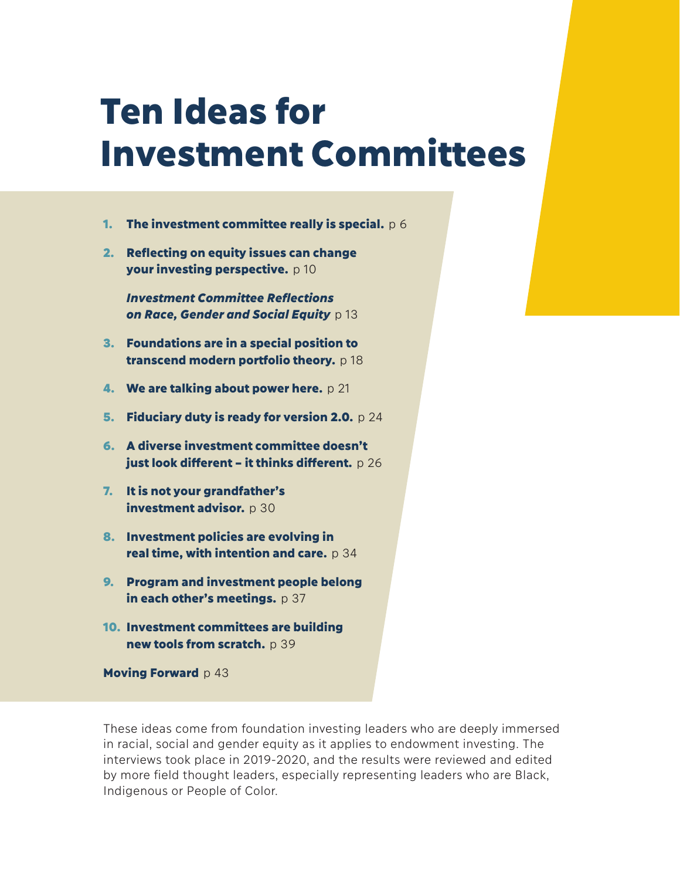## Ten Ideas for Investment Committees

- 1. The investment committee really is special.  $p \, 6$
- 2. Reflecting on equity issues can change your investing perspective. p 10

 *Investment Committee Refl ections*  **on Race, Gender and Social Equity** p 13

- 3. Foundations are in a special position to transcend modern portfolio theory. p 18
- **4. We are talking about power here.** p 21
- 5. Fiduciary duty is ready for version 2.0.  $p \, 24$
- 6. A diverse investment committee doesn't just look different – it thinks different.  $p 26$
- 7. It is not your grandfather's investment advisor. p 30
- 8. Investment policies are evolving in real time, with intention and care.  $p 34$
- 9. Program and investment people belong in each other's meetings.  $p 37$
- 10. Investment committees are building new tools from scratch. p 39

Moving Forward p 43

These ideas come from foundation investing leaders who are deeply immersed in racial, social and gender equity as it applies to endowment investing. The interviews took place in 2019-2020, and the results were reviewed and edited by more field thought leaders, especially representing leaders who are Black, Indigenous or People of Color.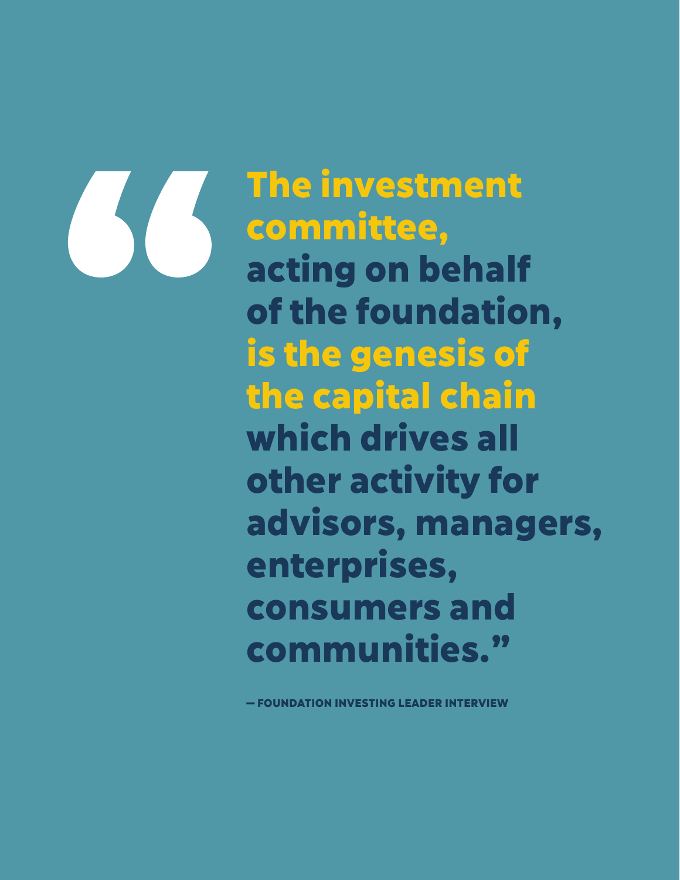

The investment committee, acting on behalf of the foundation, is the genesis of the capital chain which drives all other activity for advisors, managers, enterprises, consumers and communities."

**OUNDATION INVESTING LEADER INTERVIEW**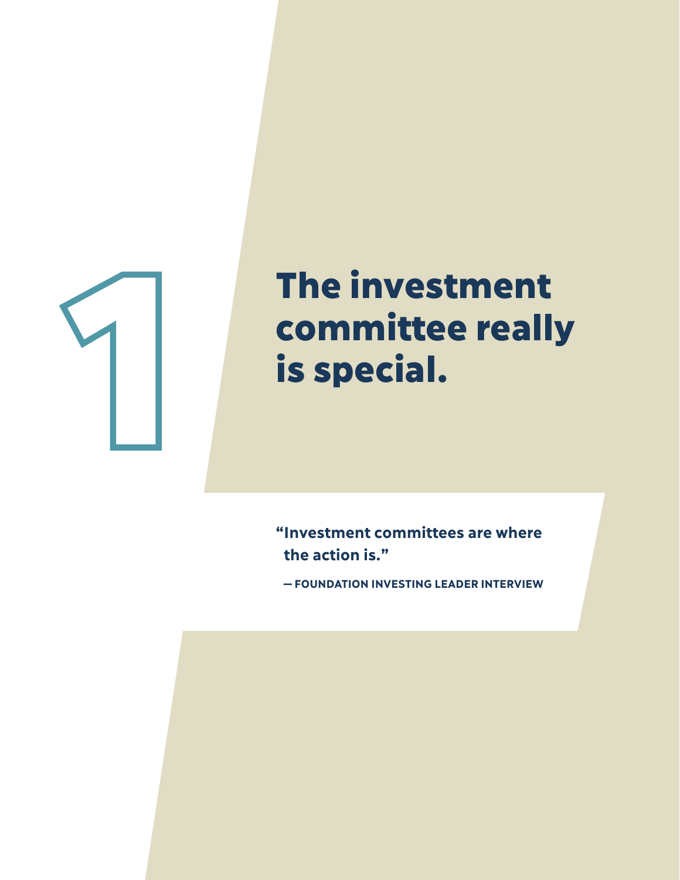

## The investment committee really is special.

**" Investment committees are where the action is."**

**—FOUNDATION INVESTING LEADER INTERVIEW**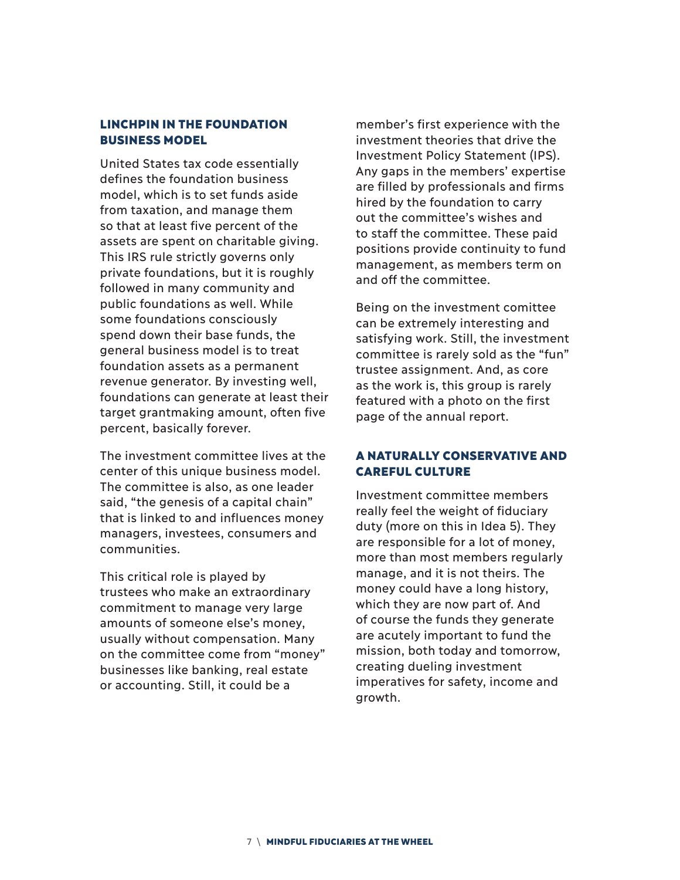#### LINCHPIN IN THE FOUNDATION BUSINESS MODEL

United States tax code essentially defines the foundation business model, which is to set funds aside from taxation, and manage them so that at least five percent of the assets are spent on charitable giving. This IRS rule strictly governs only private foundations, but it is roughly followed in many community and public foundations as well. While some foundations consciously spend down their base funds, the general business model is to treat foundation assets as a permanent revenue generator. By investing well, foundations can generate at least their target grantmaking amount, often five percent, basically forever.

The investment committee lives at the center of this unique business model. The committee is also, as one leader said, "the genesis of a capital chain" that is linked to and influences money managers, investees, consumers and communities.

This critical role is played by trustees who make an extraordinary commitment to manage very large amounts of someone else's money, usually without compensation. Many on the committee come from "money" businesses like banking, real estate or accounting. Still, it could be a

member's first experience with the investment theories that drive the Investment Policy Statement (IPS). Any gaps in the members' expertise are filled by professionals and firms hired by the foundation to carry out the committee's wishes and to staff the committee. These paid positions provide continuity to fund management, as members term on and off the committee.

Being on the investment comittee can be extremely interesting and satisfying work. Still, the investment committee is rarely sold as the "fun" trustee assignment. And, as core as the work is, this group is rarely featured with a photo on the first page of the annual report.

#### A NATURALLY CONSERVATIVE AND CAREFUL CULTURE

Investment committee members really feel the weight of fiduciary duty (more on this in Idea 5). They are responsible for a lot of money, more than most members regularly manage, and it is not theirs. The money could have a long history, which they are now part of. And of course the funds they generate are acutely important to fund the mission, both today and tomorrow, creating dueling investment imperatives for safety, income and growth.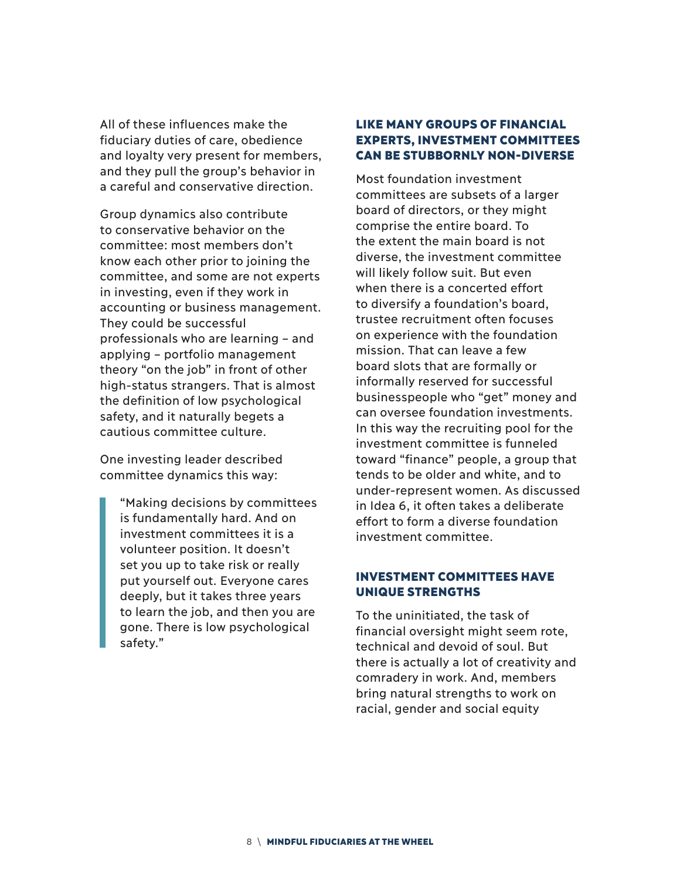All of these influences make the fiduciary duties of care, obedience and loyalty very present for members, and they pull the group's behavior in a careful and conservative direction.

Group dynamics also contribute to conservative behavior on the committee: most members don't know each other prior to joining the committee, and some are not experts in investing, even if they work in accounting or business management. They could be successful professionals who are learning – and applying – portfolio management theory "on the job" in front of other high-status strangers. That is almost the definition of low psychological safety, and it naturally begets a cautious committee culture.

One investing leader described committee dynamics this way:

"Making decisions by committees is fundamentally hard. And on investment committees it is a volunteer position. It doesn't set you up to take risk or really put yourself out. Everyone cares deeply, but it takes three years to learn the job, and then you are gone. There is low psychological safety."

#### LIKE MANY GROUPS OF FINANCIAL EXPERTS, INVESTMENT COMMITTEES CAN BE STUBBORNLY NON-DIVERSE

Most foundation investment committees are subsets of a larger board of directors, or they might comprise the entire board. To the extent the main board is not diverse, the investment committee will likely follow suit. But even when there is a concerted effort to diversify a foundation's board, trustee recruitment often focuses on experience with the foundation mission. That can leave a few board slots that are formally or informally reserved for successful businesspeople who "get" money and can oversee foundation investments. In this way the recruiting pool for the investment committee is funneled toward "finance" people, a group that tends to be older and white, and to under-represent women. As discussed in Idea 6, it often takes a deliberate effort to form a diverse foundation investment committee.

#### INVESTMENT COMMITTEES HAVE UNIQUE STRENGTHS

To the uninitiated, the task of financial oversight might seem rote, technical and devoid of soul. But there is actually a lot of creativity and comradery in work. And, members bring natural strengths to work on racial, gender and social equity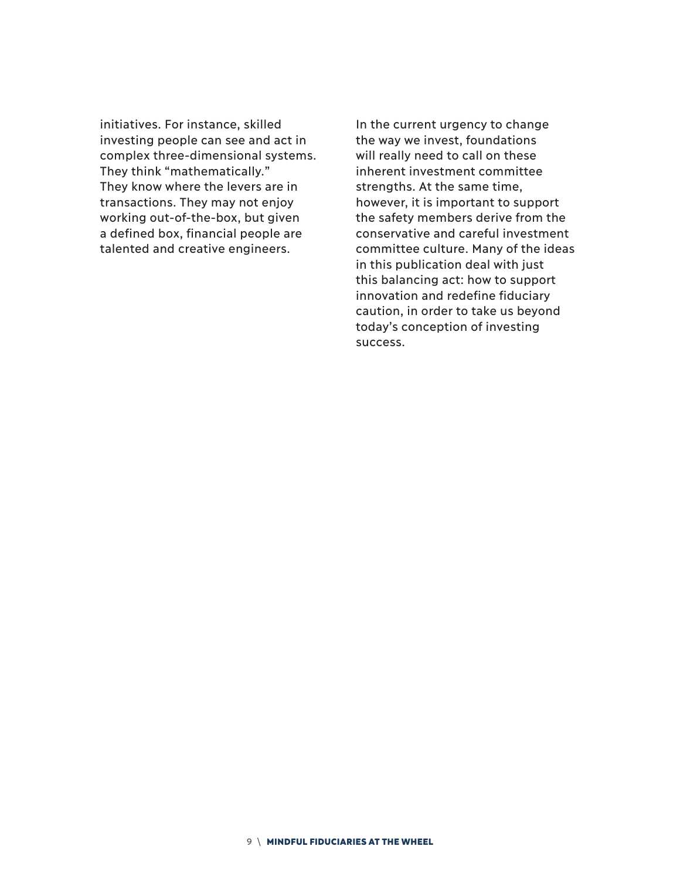initiatives. For instance, skilled investing people can see and act in complex three-dimensional systems. They think "mathematically." They know where the levers are in transactions. They may not enjoy working out-of-the-box, but given a defined box, financial people are talented and creative engineers.

In the current urgency to change the way we invest, foundations will really need to call on these inherent investment committee strengths. At the same time, however, it is important to support the safety members derive from the conservative and careful investment committee culture. Many of the ideas in this publication deal with just this balancing act: how to support innovation and redefine fiduciary caution, in order to take us beyond today's conception of investing success.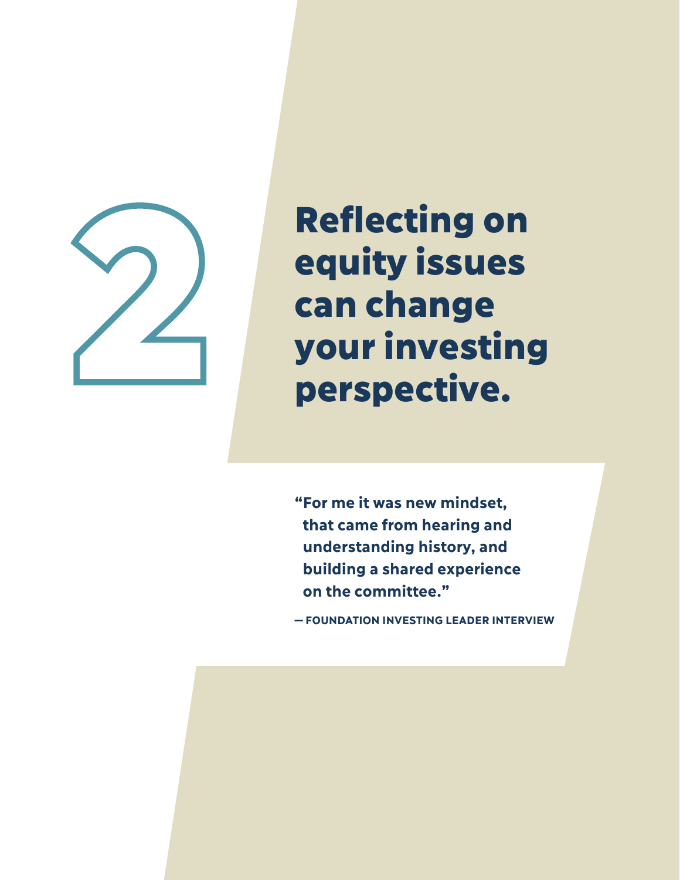

## **Reflecting on** equity issues can change **Surfall of the Second Security issues<br>Surfall perspective.**<br>Perspective.

**" For me it was new mindset, that came from hearing and understanding history, and building a shared experience on the committee."** 

**—FOUNDATION INVESTING LEADER INTERVIEW**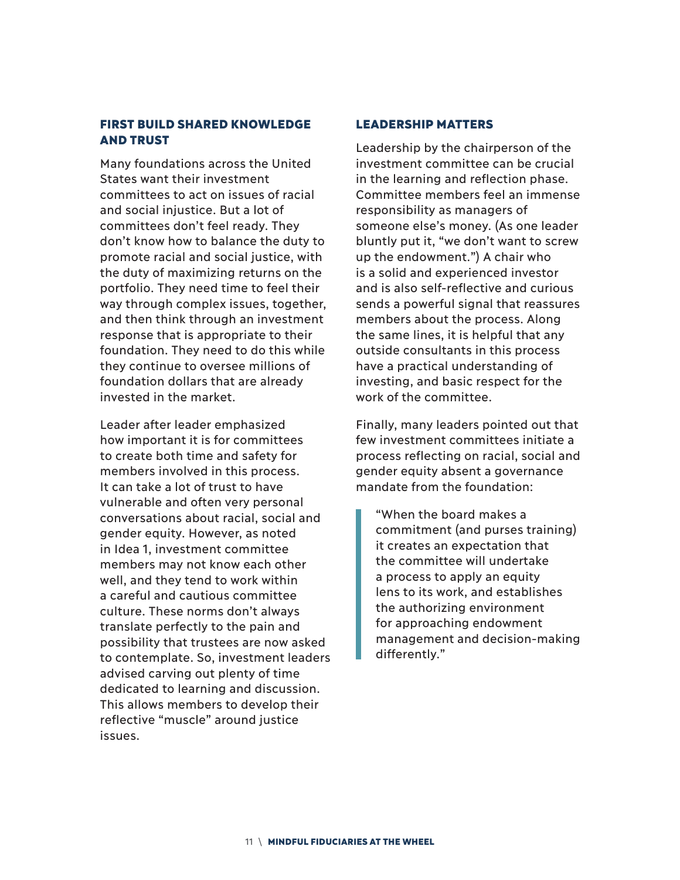#### FIRST BUILD SHARED KNOWLEDGE AND TRUST

Many foundations across the United States want their investment committees to act on issues of racial and social injustice. But a lot of committees don't feel ready. They don't know how to balance the duty to promote racial and social justice, with the duty of maximizing returns on the portfolio. They need time to feel their way through complex issues, together, and then think through an investment response that is appropriate to their foundation. They need to do this while they continue to oversee millions of foundation dollars that are already invested in the market.

Leader after leader emphasized how important it is for committees to create both time and safety for members involved in this process. It can take a lot of trust to have vulnerable and often very personal conversations about racial, social and gender equity. However, as noted in Idea 1, investment committee members may not know each other well, and they tend to work within a careful and cautious committee culture. These norms don't always translate perfectly to the pain and possibility that trustees are now asked to contemplate. So, investment leaders advised carving out plenty of time dedicated to learning and discussion. This allows members to develop their reflective "muscle" around justice issues.

#### LEADERSHIP MATTERS

Leadership by the chairperson of the investment committee can be crucial in the learning and reflection phase. Committee members feel an immense responsibility as managers of someone else's money. (As one leader bluntly put it, "we don't want to screw up the endowment.") A chair who is a solid and experienced investor and is also self-reflective and curious sends a powerful signal that reassures members about the process. Along the same lines, it is helpful that any outside consultants in this process have a practical understanding of investing, and basic respect for the work of the committee.

Finally, many leaders pointed out that few investment committees initiate a process reflecting on racial, social and gender equity absent a governance mandate from the foundation:

"When the board makes a commitment (and purses training) it creates an expectation that the committee will undertake a process to apply an equity lens to its work, and establishes the authorizing environment for approaching endowment management and decision-making differently."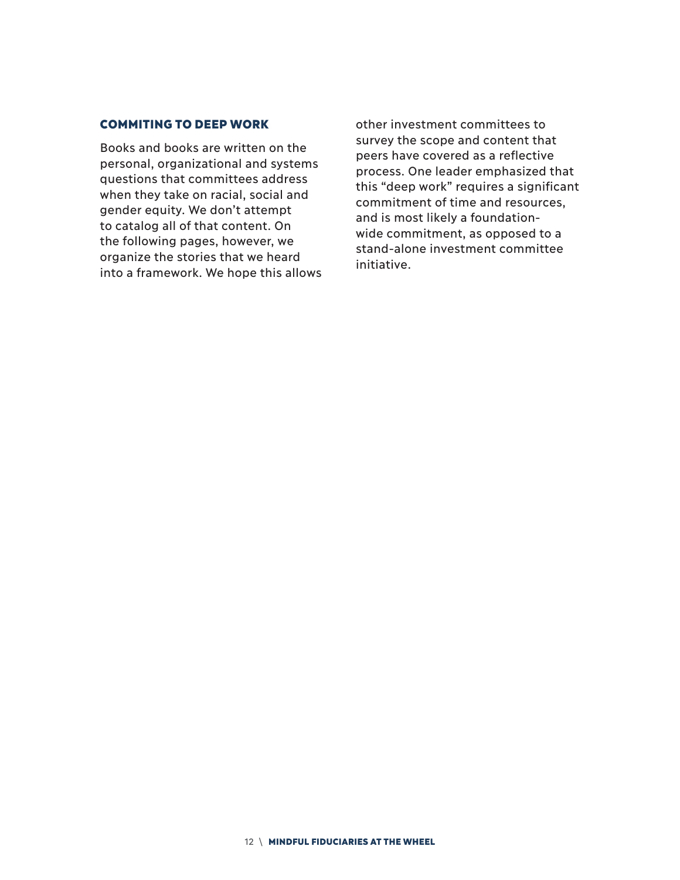#### COMMITING TO DEEP WORK

Books and books are written on the personal, organizational and systems questions that committees address when they take on racial, social and gender equity. We don't attempt to catalog all of that content. On the following pages, however, we organize the stories that we heard into a framework. We hope this allows other investment committees to survey the scope and content that peers have covered as a reflective process. One leader emphasized that this "deep work" requires a significant commitment of time and resources, and is most likely a foundationwide commitment, as opposed to a stand-alone investment committee initiative.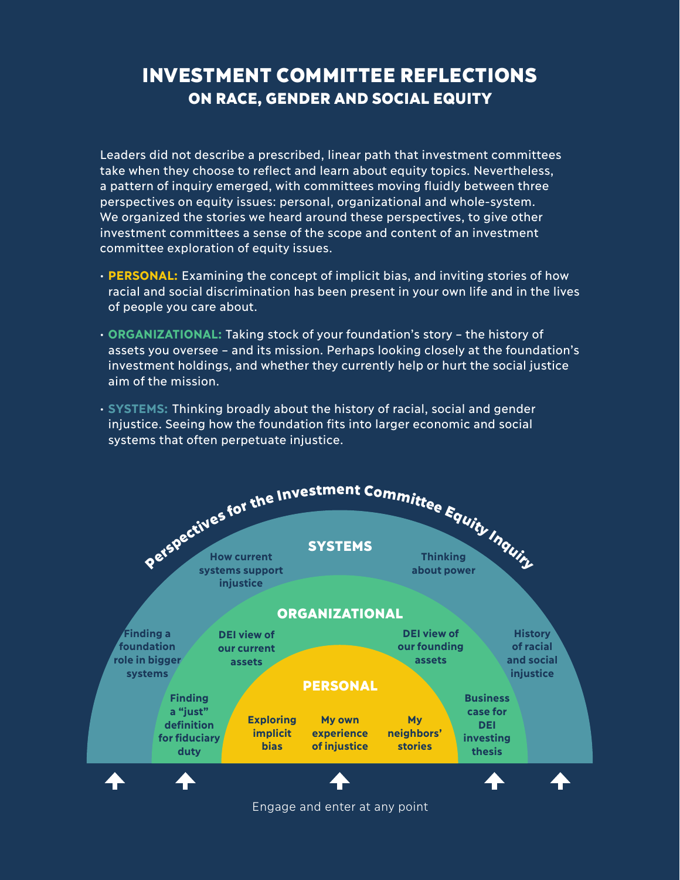#### INVESTMENT COMMITTEE REFLECTIONS ON RACE, GENDER AND SOCIAL EQUITY

Leaders did not describe a prescribed, linear path that investment committees take when they choose to reflect and learn about equity topics. Nevertheless, a pattern of inquiry emerged, with committees moving fluidly between three perspectives on equity issues: personal, organizational and whole-system. We organized the stories we heard around these perspectives, to give other investment committees a sense of the scope and content of an investment committee exploration of equity issues.

- **PERSONAL:** Examining the concept of implicit bias, and inviting stories of how racial and social discrimination has been present in your own life and in the lives of people you care about.
- **ORGANIZATIONAL:** Taking stock of your foundation's story the history of assets you oversee – and its mission. Perhaps looking closely at the foundation's investment holdings, and whether they currently help or hurt the social justice aim of the mission.
- **SYSTEMS:** Thinking broadly about the history of racial, social and gender injustice. Seeing how the foundation fits into larger economic and social systems that often perpetuate injustice.



Engage and enter at any point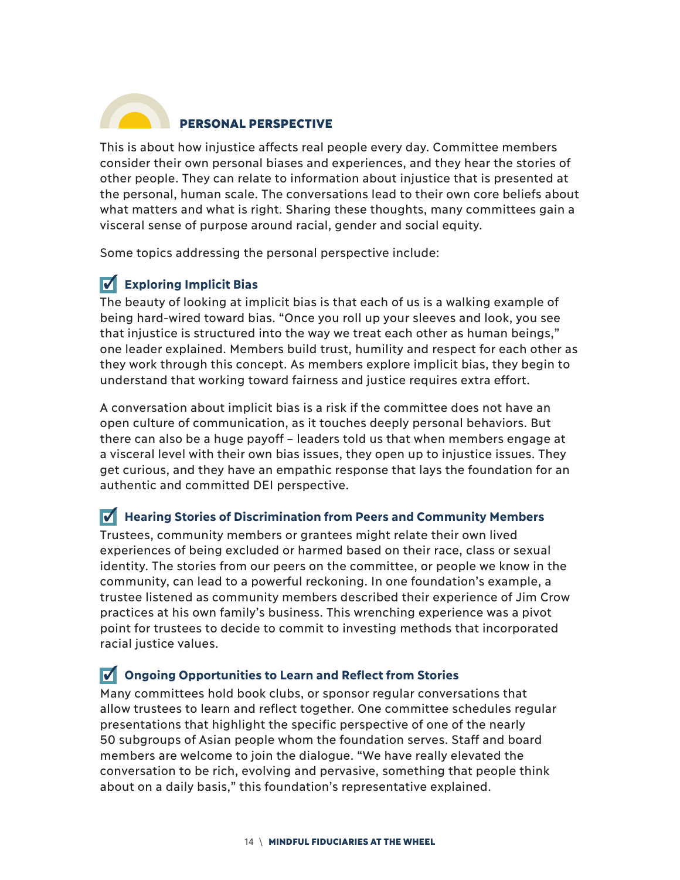

#### PERSONAL PERSPECTIVE

This is about how injustice affects real people every day. Committee members consider their own personal biases and experiences, and they hear the stories of other people. They can relate to information about injustice that is presented at the personal, human scale. The conversations lead to their own core beliefs about what matters and what is right. Sharing these thoughts, many committees gain a visceral sense of purpose around racial, gender and social equity.

Some topics addressing the personal perspective include:

#### **Exploring Implicit Bias**

The beauty of looking at implicit bias is that each of us is a walking example of being hard-wired toward bias. "Once you roll up your sleeves and look, you see that injustice is structured into the way we treat each other as human beings," one leader explained. Members build trust, humility and respect for each other as they work through this concept. As members explore implicit bias, they begin to understand that working toward fairness and justice requires extra effort.

A conversation about implicit bias is a risk if the committee does not have an open culture of communication, as it touches deeply personal behaviors. But there can also be a huge payoff – leaders told us that when members engage at a visceral level with their own bias issues, they open up to injustice issues. They get curious, and they have an empathic response that lays the foundation for an authentic and committed DEI perspective.

#### **Hearing Stories of Discrimination from Peers and Community Members**

Trustees, community members or grantees might relate their own lived experiences of being excluded or harmed based on their race, class or sexual identity. The stories from our peers on the committee, or people we know in the community, can lead to a powerful reckoning. In one foundation's example, a trustee listened as community members described their experience of Jim Crow practices at his own family's business. This wrenching experience was a pivot point for trustees to decide to commit to investing methods that incorporated racial justice values.

#### **Ongoing Opportunities to Learn and Reflect from Stories**

Many committees hold book clubs, or sponsor regular conversations that allow trustees to learn and reflect together. One committee schedules regular presentations that highlight the specific perspective of one of the nearly 50 subgroups of Asian people whom the foundation serves. Staff and board members are welcome to join the dialogue. "We have really elevated the conversation to be rich, evolving and pervasive, something that people think about on a daily basis," this foundation's representative explained.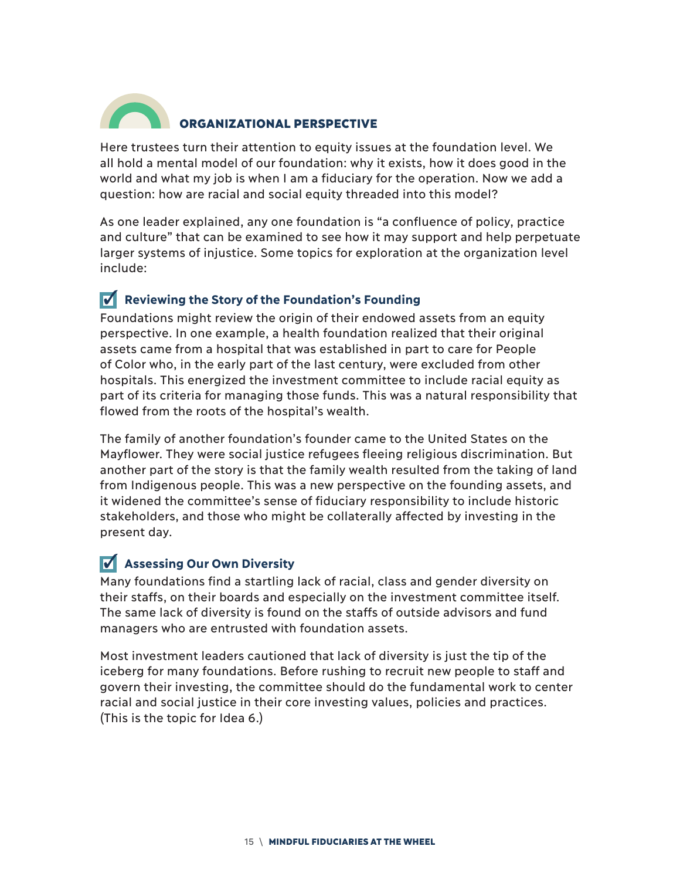

#### ORGANIZATIONAL PERSPECTIVE

Here trustees turn their attention to equity issues at the foundation level. We all hold a mental model of our foundation: why it exists, how it does good in the world and what my job is when I am a fiduciary for the operation. Now we add a question: how are racial and social equity threaded into this model?

As one leader explained, any one foundation is "a confluence of policy, practice and culture" that can be examined to see how it may support and help perpetuate larger systems of injustice. Some topics for exploration at the organization level include:

#### **Reviewing the Story of the Foundation's Founding**

Foundations might review the origin of their endowed assets from an equity perspective. In one example, a health foundation realized that their original assets came from a hospital that was established in part to care for People of Color who, in the early part of the last century, were excluded from other hospitals. This energized the investment committee to include racial equity as part of its criteria for managing those funds. This was a natural responsibility that flowed from the roots of the hospital's wealth.

The family of another foundation's founder came to the United States on the Mayflower. They were social justice refugees fleeing religious discrimination. But another part of the story is that the family wealth resulted from the taking of land from Indigenous people. This was a new perspective on the founding assets, and it widened the committee's sense of fiduciary responsibility to include historic stakeholders, and those who might be collaterally affected by investing in the present day.

#### **Assessing Our Own Diversity**

Many foundations find a startling lack of racial, class and gender diversity on their staffs, on their boards and especially on the investment committee itself. The same lack of diversity is found on the staffs of outside advisors and fund managers who are entrusted with foundation assets.

Most investment leaders cautioned that lack of diversity is just the tip of the iceberg for many foundations. Before rushing to recruit new people to staff and govern their investing, the committee should do the fundamental work to center racial and social justice in their core investing values, policies and practices. (This is the topic for Idea 6.)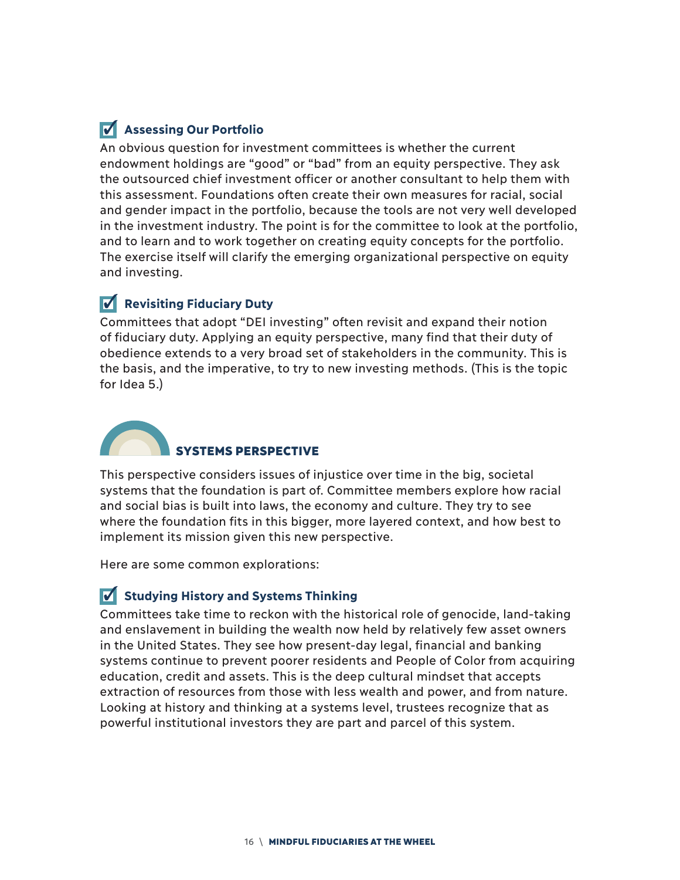#### **Assessing Our Portfolio**

An obvious question for investment committees is whether the current endowment holdings are "good" or "bad" from an equity perspective. They ask the outsourced chief investment officer or another consultant to help them with this assessment. Foundations often create their own measures for racial, social and gender impact in the portfolio, because the tools are not very well developed in the investment industry. The point is for the committee to look at the portfolio, and to learn and to work together on creating equity concepts for the portfolio. The exercise itself will clarify the emerging organizational perspective on equity and investing.

#### **Revisiting Fiduciary Duty**

Committees that adopt "DEI investing" often revisit and expand their notion of fiduciary duty. Applying an equity perspective, many find that their duty of obedience extends to a very broad set of stakeholders in the community. This is the basis, and the imperative, to try to new investing methods. (This is the topic for Idea 5.)



This perspective considers issues of injustice over time in the big, societal systems that the foundation is part of. Committee members explore how racial and social bias is built into laws, the economy and culture. They try to see where the foundation fits in this bigger, more layered context, and how best to implement its mission given this new perspective.

Here are some common explorations:

#### **V** Studying History and Systems Thinking

Committees take time to reckon with the historical role of genocide, land-taking and enslavement in building the wealth now held by relatively few asset owners in the United States. They see how present-day legal, financial and banking systems continue to prevent poorer residents and People of Color from acquiring education, credit and assets. This is the deep cultural mindset that accepts extraction of resources from those with less wealth and power, and from nature. Looking at history and thinking at a systems level, trustees recognize that as powerful institutional investors they are part and parcel of this system.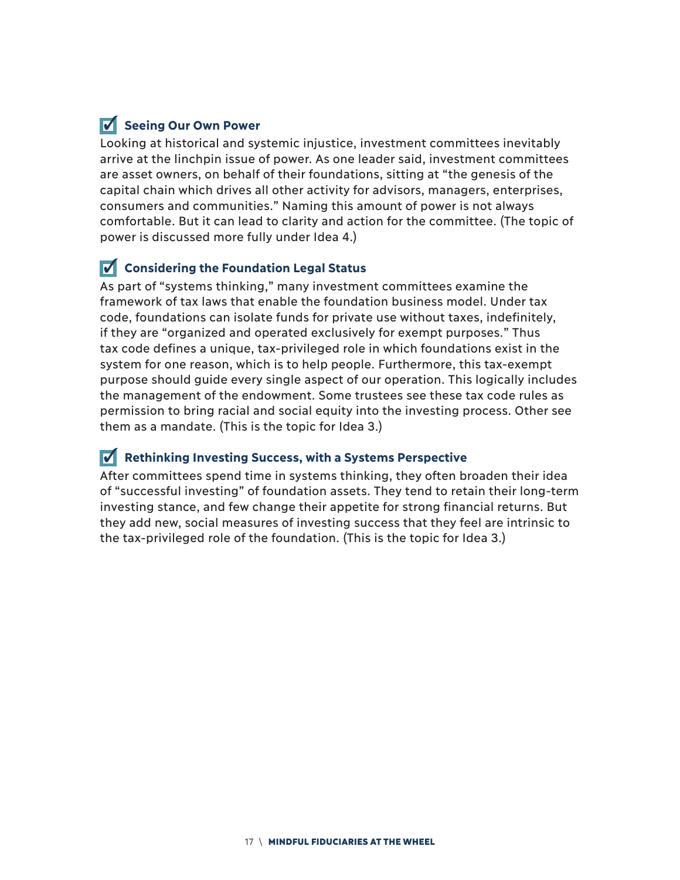#### **V** Seeing Our Own Power

Looking at historical and systemic injustice, investment committees inevitably arrive at the linchpin issue of power. As one leader said, investment committees are asset owners, on behalf of their foundations, sitting at "the genesis of the capital chain which drives all other activity for advisors, managers, enterprises, consumers and communities." Naming this amount of power is not always comfortable. But it can lead to clarity and action for the committee. (The topic of power is discussed more fully under Idea 4.)

#### **V** Considering the Foundation Legal Status

As part of "systems thinking," many investment committees examine the framework of tax laws that enable the foundation business model. Under tax code, foundations can isolate funds for private use without taxes, indefinitely, if they are "organized and operated exclusively for exempt purposes." Thus tax code defines a unique, tax-privileged role in which foundations exist in the system for one reason, which is to help people. Furthermore, this tax-exempt purpose should guide every single aspect of our operation. This logically includes the management of the endowment. Some trustees see these tax code rules as permission to bring racial and social equity into the investing process. Other see them as a mandate. (This is the topic for Idea 3.)

#### **Rethinking Investing Success, with a Systems Perspective**

After committees spend time in systems thinking, they often broaden their idea of "successful investing" of foundation assets. They tend to retain their long-term investing stance, and few change their appetite for strong financial returns. But they add new, social measures of investing success that they feel are intrinsic to the tax-privileged role of the foundation. (This is the topic for Idea 3.)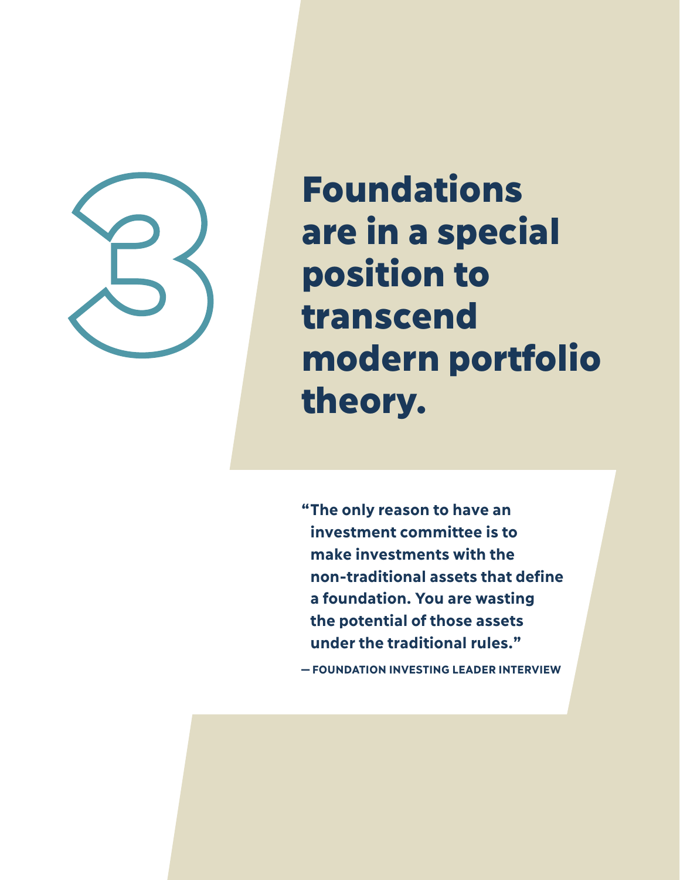

Foundations are in a special position to transcend modern portfolio theory.

**" The only reason to have an investment committee is to make investments with the non-traditional assets that define a foundation. You are wasting the potential of those assets under the traditional rules."**

**—FOUNDATION INVESTING LEADER INTERVIEW**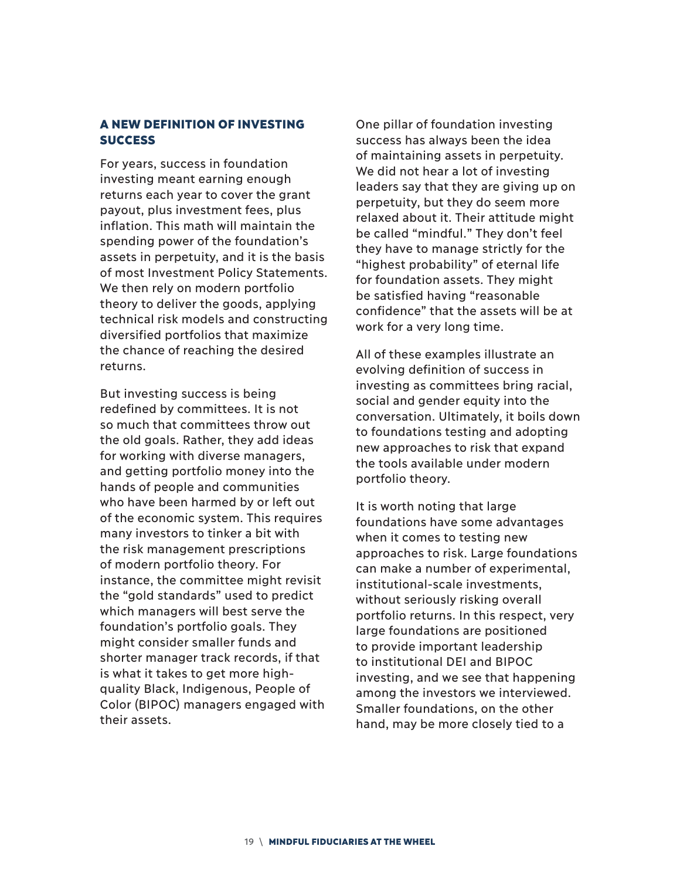#### A NEW DEFINITION OF INVESTING **SUCCESS**

For years, success in foundation investing meant earning enough returns each year to cover the grant payout, plus investment fees, plus inflation. This math will maintain the spending power of the foundation's assets in perpetuity, and it is the basis of most Investment Policy Statements. We then rely on modern portfolio theory to deliver the goods, applying technical risk models and constructing diversified portfolios that maximize the chance of reaching the desired returns.

But investing success is being redefined by committees. It is not so much that committees throw out the old goals. Rather, they add ideas for working with diverse managers, and getting portfolio money into the hands of people and communities who have been harmed by or left out of the economic system. This requires many investors to tinker a bit with the risk management prescriptions of modern portfolio theory. For instance, the committee might revisit the "gold standards" used to predict which managers will best serve the foundation's portfolio goals. They might consider smaller funds and shorter manager track records, if that is what it takes to get more highquality Black, Indigenous, People of Color (BIPOC) managers engaged with their assets.

One pillar of foundation investing success has always been the idea of maintaining assets in perpetuity. We did not hear a lot of investing leaders say that they are giving up on perpetuity, but they do seem more relaxed about it. Their attitude might be called "mindful." They don't feel they have to manage strictly for the "highest probability" of eternal life for foundation assets. They might be satisfied having "reasonable confidence" that the assets will be at work for a very long time.

All of these examples illustrate an evolving definition of success in investing as committees bring racial, social and gender equity into the conversation. Ultimately, it boils down to foundations testing and adopting new approaches to risk that expand the tools available under modern portfolio theory.

It is worth noting that large foundations have some advantages when it comes to testing new approaches to risk. Large foundations can make a number of experimental, institutional-scale investments, without seriously risking overall portfolio returns. In this respect, very large foundations are positioned to provide important leadership to institutional DEI and BIPOC investing, and we see that happening among the investors we interviewed. Smaller foundations, on the other hand, may be more closely tied to a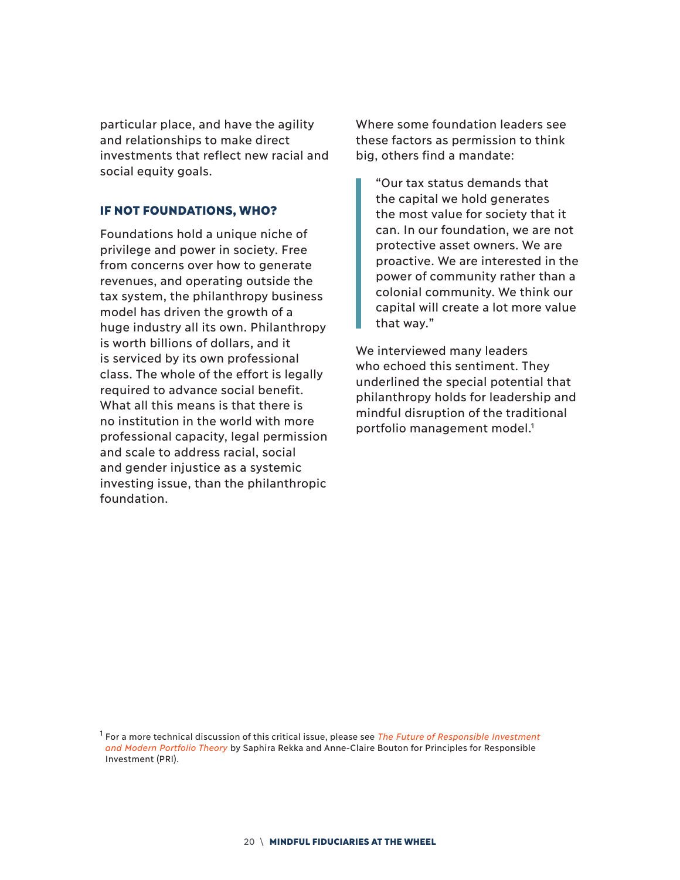particular place, and have the agility and relationships to make direct investments that reflect new racial and social equity goals.

#### IF NOT FOUNDATIONS, WHO?

Foundations hold a unique niche of privilege and power in society. Free from concerns over how to generate revenues, and operating outside the tax system, the philanthropy business model has driven the growth of a huge industry all its own. Philanthropy is worth billions of dollars, and it is serviced by its own professional class. The whole of the effort is legally required to advance social benefit. What all this means is that there is no institution in the world with more professional capacity, legal permission and scale to address racial, social and gender injustice as a systemic investing issue, than the philanthropic foundation.

Where some foundation leaders see these factors as permission to think big, others find a mandate:

"Our tax status demands that the capital we hold generates the most value for society that it can. In our foundation, we are not protective asset owners. We are proactive. We are interested in the power of community rather than a colonial community. We think our capital will create a lot more value that way."

We interviewed many leaders who echoed this sentiment. They underlined the special potential that philanthropy holds for leadership and mindful disruption of the traditional portfolio management model.<sup>1</sup>

1 For a more technical discussion of this critical issue, please see *The Future of Responsible Investment and Modern Portfolio Theory* by Saphira Rekka and Anne-Claire Bouton for Principles for Responsible Investment (PRI).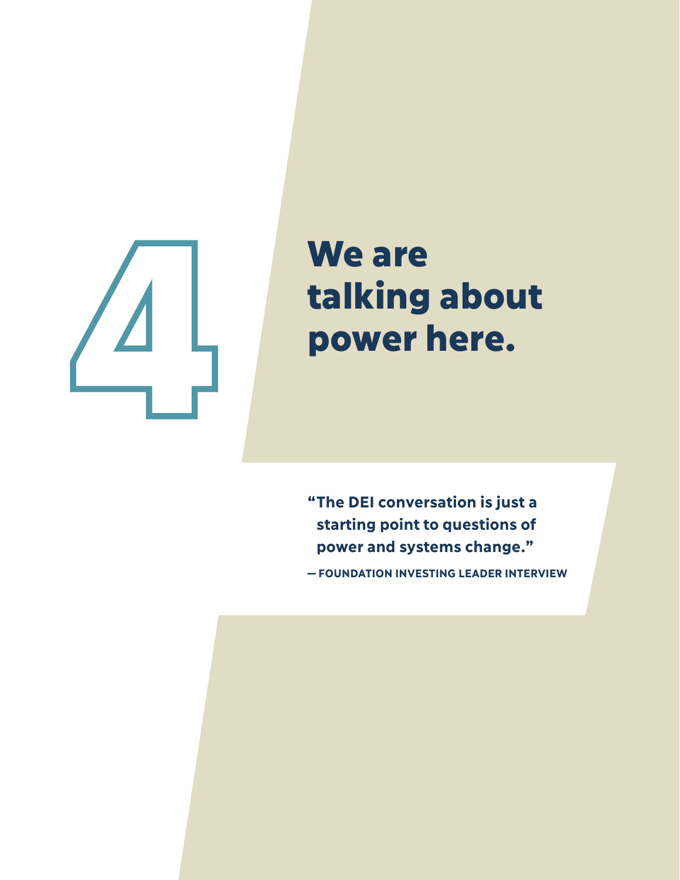## We are talking about power here.

**" The DEI conversation is just a starting point to questions of power and systems change."**

**—FOUNDATION INVESTING LEADER INTERVIEW**

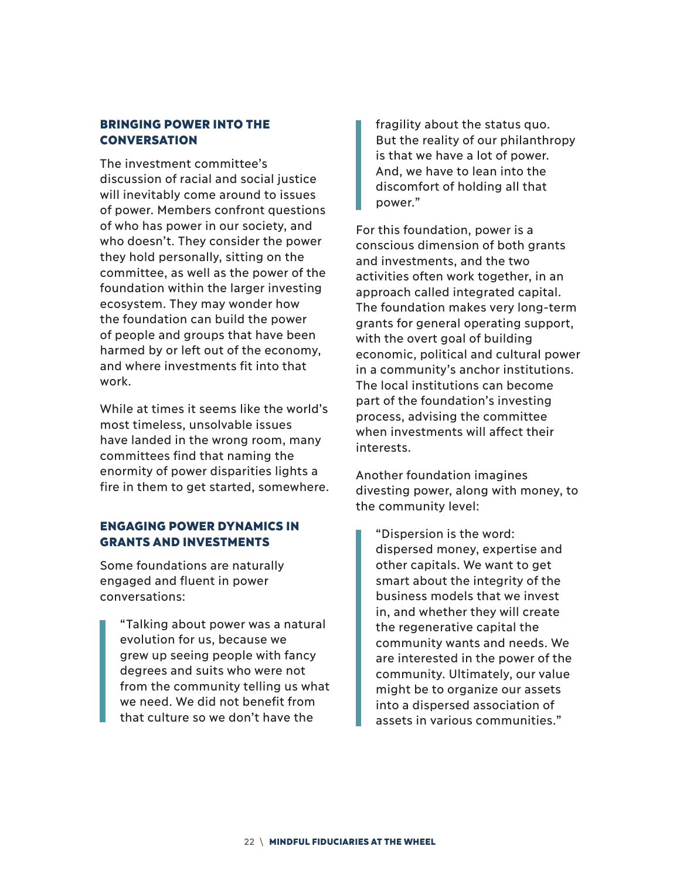#### BRINGING POWER INTO THE CONVERSATION

The investment committee's discussion of racial and social justice will inevitably come around to issues of power. Members confront questions of who has power in our society, and who doesn't. They consider the power they hold personally, sitting on the committee, as well as the power of the foundation within the larger investing ecosystem. They may wonder how the foundation can build the power of people and groups that have been harmed by or left out of the economy, and where investments fit into that work.

While at times it seems like the world's most timeless, unsolvable issues have landed in the wrong room, many committees find that naming the enormity of power disparities lights a fire in them to get started, somewhere.

#### ENGAGING POWER DYNAMICS IN GRANTS AND INVESTMENTS

Some foundations are naturally engaged and fluent in power conversations:

"Talking about power was a natural evolution for us, because we grew up seeing people with fancy degrees and suits who were not from the community telling us what we need. We did not benefit from that culture so we don't have the

fragility about the status quo. But the reality of our philanthropy is that we have a lot of power. And, we have to lean into the discomfort of holding all that power."

For this foundation, power is a conscious dimension of both grants and investments, and the two activities often work together, in an approach called integrated capital. The foundation makes very long-term grants for general operating support, with the overt goal of building economic, political and cultural power in a community's anchor institutions. The local institutions can become part of the foundation's investing process, advising the committee when investments will affect their interests.

Another foundation imagines divesting power, along with money, to the community level:

"Dispersion is the word: dispersed money, expertise and other capitals. We want to get smart about the integrity of the business models that we invest in, and whether they will create the regenerative capital the community wants and needs. We are interested in the power of the community. Ultimately, our value might be to organize our assets into a dispersed association of assets in various communities."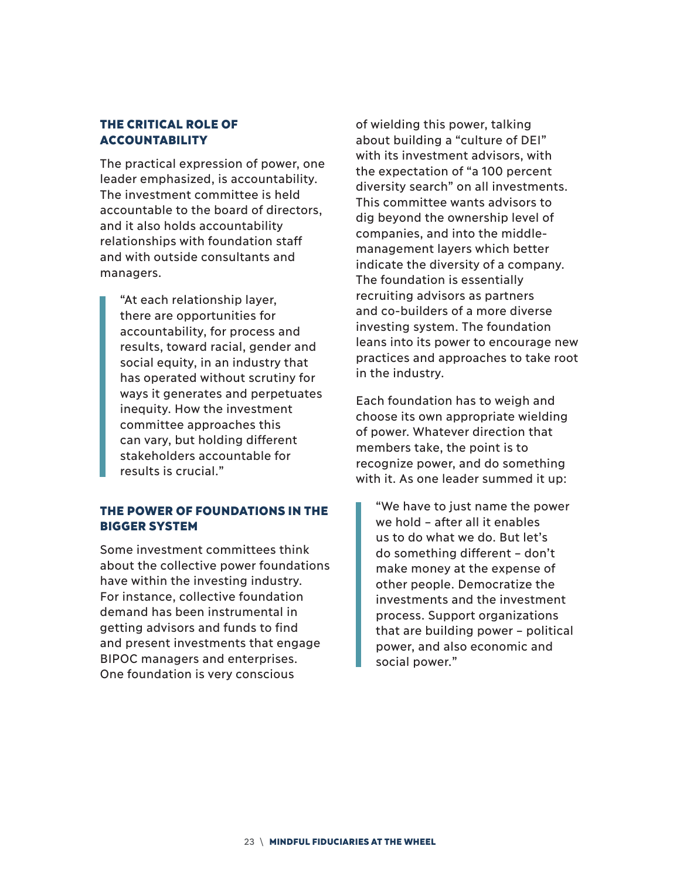#### THE CRITICAL ROLE OF ACCOUNTABILITY

The practical expression of power, one leader emphasized, is accountability. The investment committee is held accountable to the board of directors, and it also holds accountability relationships with foundation staff and with outside consultants and managers.

"At each relationship layer, there are opportunities for accountability, for process and results, toward racial, gender and social equity, in an industry that has operated without scrutiny for ways it generates and perpetuates inequity. How the investment committee approaches this can vary, but holding different stakeholders accountable for results is crucial."

#### THE POWER OF FOUNDATIONS IN THE BIGGER SYSTEM

Some investment committees think about the collective power foundations have within the investing industry. For instance, collective foundation demand has been instrumental in getting advisors and funds to find and present investments that engage BIPOC managers and enterprises. One foundation is very conscious

of wielding this power, talking about building a "culture of DEI" with its investment advisors, with the expectation of "a 100 percent diversity search" on all investments. This committee wants advisors to dig beyond the ownership level of companies, and into the middlemanagement layers which better indicate the diversity of a company. The foundation is essentially recruiting advisors as partners and co-builders of a more diverse investing system. The foundation leans into its power to encourage new practices and approaches to take root in the industry.

Each foundation has to weigh and choose its own appropriate wielding of power. Whatever direction that members take, the point is to recognize power, and do something with it. As one leader summed it up:

"We have to just name the power we hold – after all it enables us to do what we do. But let's do something different – don't make money at the expense of other people. Democratize the investments and the investment process. Support organizations that are building power – political power, and also economic and social power."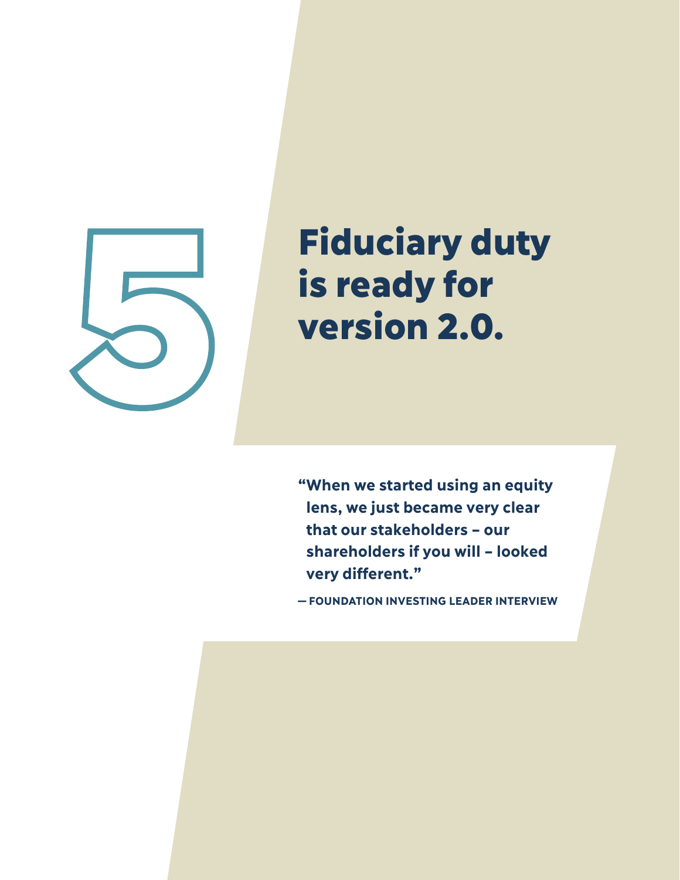

## Fiduciary duty is ready for version 2.0.

**" When we started using an equity lens, we just became very clear that our stakeholders – our shareholders if you will – looked very different."**

**—FOUNDATION INVESTING LEADER INTERVIEW**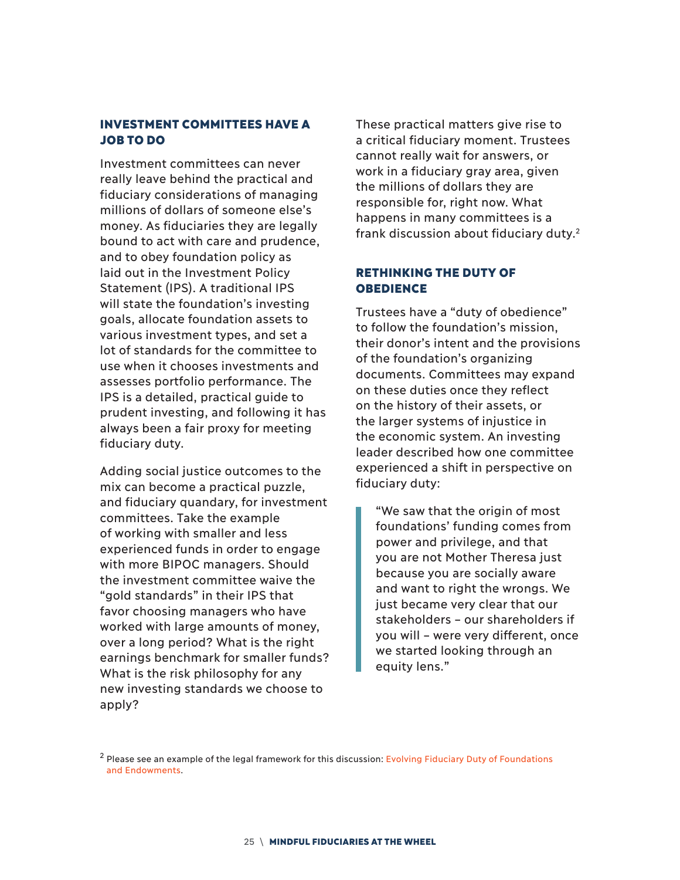#### INVESTMENT COMMITTEES HAVE A JOB TO DO

Investment committees can never really leave behind the practical and fiduciary considerations of managing millions of dollars of someone else's money. As fiduciaries they are legally bound to act with care and prudence, and to obey foundation policy as laid out in the Investment Policy Statement (IPS). A traditional IPS will state the foundation's investing goals, allocate foundation assets to various investment types, and set a lot of standards for the committee to use when it chooses investments and assesses portfolio performance. The IPS is a detailed, practical guide to prudent investing, and following it has always been a fair proxy for meeting fiduciary duty.

Adding social justice outcomes to the mix can become a practical puzzle, and fiduciary quandary, for investment committees. Take the example of working with smaller and less experienced funds in order to engage with more BIPOC managers. Should the investment committee waive the "gold standards" in their IPS that favor choosing managers who have worked with large amounts of money, over a long period? What is the right earnings benchmark for smaller funds? What is the risk philosophy for any new investing standards we choose to apply?

These practical matters give rise to a critical fiduciary moment. Trustees cannot really wait for answers, or work in a fiduciary gray area, given the millions of dollars they are responsible for, right now. What happens in many committees is a frank discussion about fiduciary duty.<sup>2</sup>

#### RETHINKING THE DUTY OF **OBEDIENCE**

Trustees have a "duty of obedience" to follow the foundation's mission, their donor's intent and the provisions of the foundation's organizing documents. Committees may expand on these duties once they reflect on the history of their assets, or the larger systems of injustice in the economic system. An investing leader described how one committee experienced a shift in perspective on fiduciary duty:

"We saw that the origin of most foundations' funding comes from power and privilege, and that you are not Mother Theresa just because you are socially aware and want to right the wrongs. We just became very clear that our stakeholders – our shareholders if you will – were very different, once we started looking through an equity lens."

<sup>&</sup>lt;sup>2</sup> Please see an example of the legal framework for this discussion: Evolving Fiduciary Duty of Foundations and Endowments.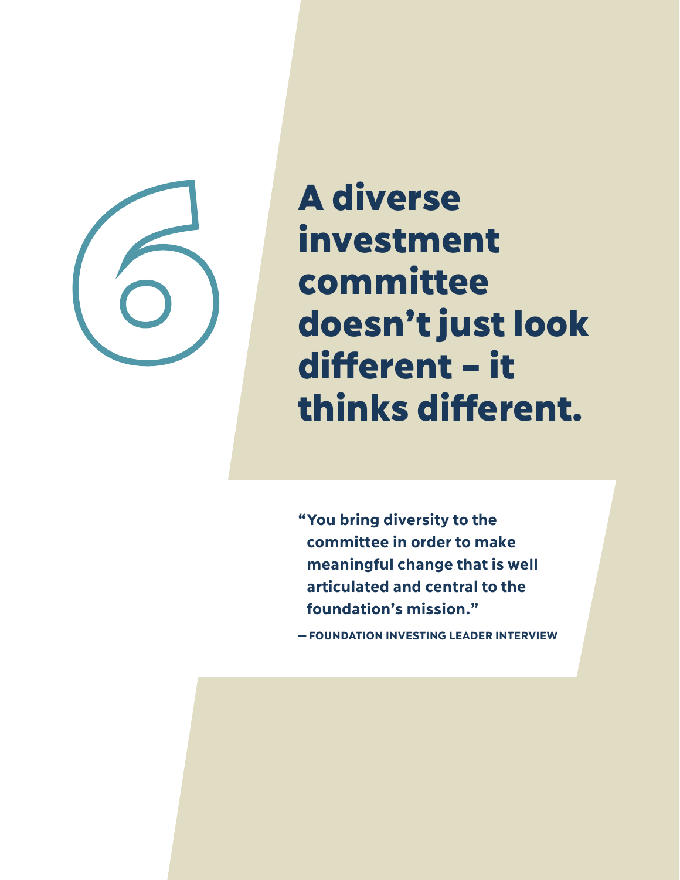

A diverse investment committee doesn't just look different – it thinks different.

**" You bring diversity to the committee in order to make meaningful change that is well articulated and central to the foundation's mission."** 

**— FOUNDATION INVESTING LEADER INTERVIEW**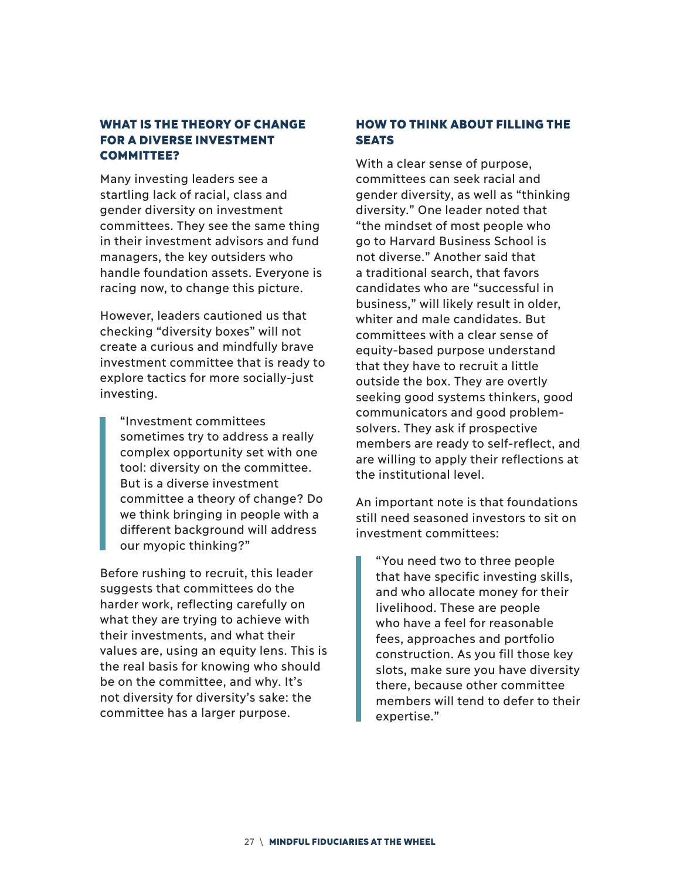#### WHAT IS THE THEORY OF CHANGE FOR A DIVERSE INVESTMENT COMMITTEE?

Many investing leaders see a startling lack of racial, class and gender diversity on investment committees. They see the same thing in their investment advisors and fund managers, the key outsiders who handle foundation assets. Everyone is racing now, to change this picture.

However, leaders cautioned us that checking "diversity boxes" will not create a curious and mindfully brave investment committee that is ready to explore tactics for more socially-just investing.

"Investment committees sometimes try to address a really complex opportunity set with one tool: diversity on the committee. But is a diverse investment committee a theory of change? Do we think bringing in people with a different background will address our myopic thinking?"

Before rushing to recruit, this leader suggests that committees do the harder work, reflecting carefully on what they are trying to achieve with their investments, and what their values are, using an equity lens. This is the real basis for knowing who should be on the committee, and why. It's not diversity for diversity's sake: the committee has a larger purpose.

#### HOW TO THINK ABOUT FILLING THE **SEATS**

With a clear sense of purpose, committees can seek racial and gender diversity, as well as "thinking diversity." One leader noted that "the mindset of most people who go to Harvard Business School is not diverse." Another said that a traditional search, that favors candidates who are "successful in business," will likely result in older, whiter and male candidates. But committees with a clear sense of equity-based purpose understand that they have to recruit a little outside the box. They are overtly seeking good systems thinkers, good communicators and good problemsolvers. They ask if prospective members are ready to self-reflect, and are willing to apply their reflections at the institutional level.

An important note is that foundations still need seasoned investors to sit on investment committees:

"You need two to three people that have specific investing skills, and who allocate money for their livelihood. These are people who have a feel for reasonable fees, approaches and portfolio construction. As you fill those key slots, make sure you have diversity there, because other committee members will tend to defer to their expertise."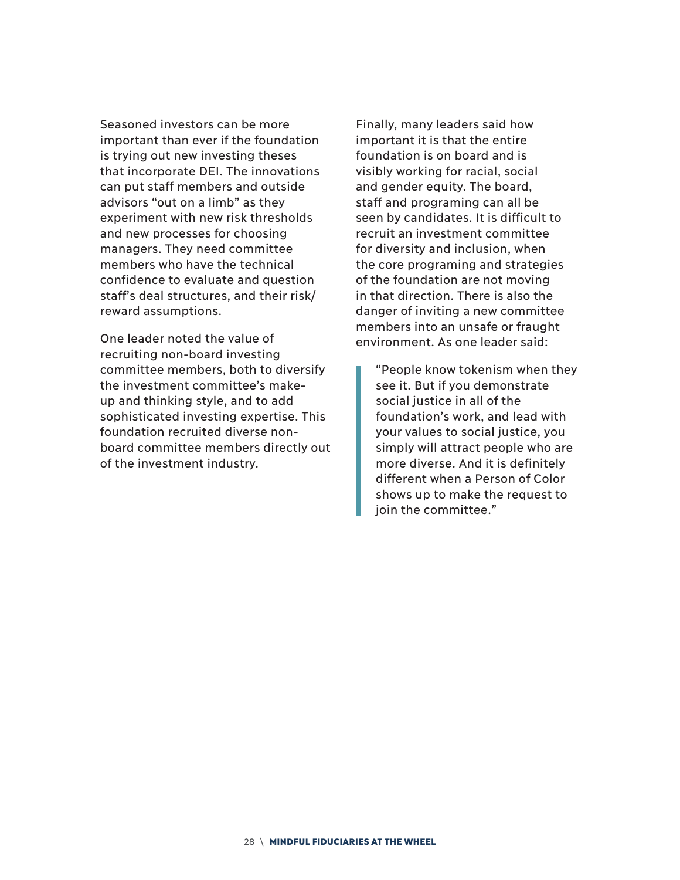Seasoned investors can be more important than ever if the foundation is trying out new investing theses that incorporate DEI. The innovations can put staff members and outside advisors "out on a limb" as they experiment with new risk thresholds and new processes for choosing managers. They need committee members who have the technical confidence to evaluate and question staff's deal structures, and their risk/ reward assumptions.

One leader noted the value of recruiting non-board investing committee members, both to diversify the investment committee's makeup and thinking style, and to add sophisticated investing expertise. This foundation recruited diverse nonboard committee members directly out of the investment industry.

Finally, many leaders said how important it is that the entire foundation is on board and is visibly working for racial, social and gender equity. The board, staff and programing can all be seen by candidates. It is difficult to recruit an investment committee for diversity and inclusion, when the core programing and strategies of the foundation are not moving in that direction. There is also the danger of inviting a new committee members into an unsafe or fraught environment. As one leader said:

"People know tokenism when they see it. But if you demonstrate social justice in all of the foundation's work, and lead with your values to social justice, you simply will attract people who are more diverse. And it is definitely different when a Person of Color shows up to make the request to join the committee."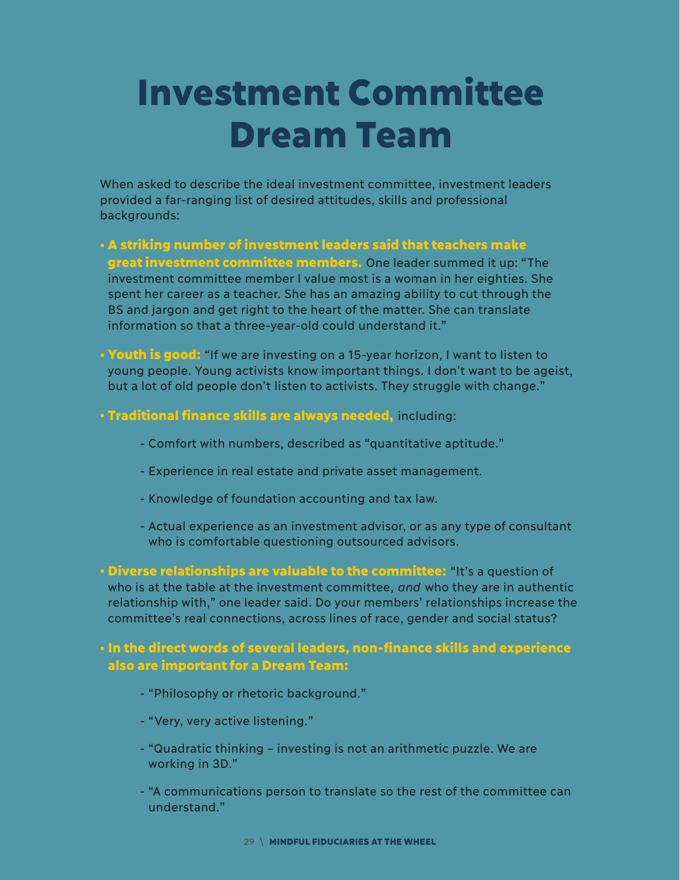## Investment Committee Dream Team

When asked to describe the ideal investment committee, investment leaders provided a far-ranging list of desired attitudes, skills and professional backgrounds:

- A striking number of investment leaders said that teachers make great investment committee members. One leader summed it up: "The investment committee member I value most is a woman in her eighties. She spent her career as a teacher. She has an amazing ability to cut through the BS and jargon and get right to the heart of the matter. She can translate information so that a three-year-old could understand it."
- Youth is good: "If we are investing on a 15-year horizon, I want to listen to young people. Young activists know important things. I don't want to be ageist, but a lot of old people don't listen to activists. They struggle with change."
- Traditional finance skills are always needed, including:
	- Comfort with numbers, described as "quantitative aptitude."
	- Experience in real estate and private asset management.
	- Knowledge of foundation accounting and tax law.
	- Actual experience as an investment advisor, or as any type of consultant who is comfortable questioning outsourced advisors.
- Diverse relationships are valuable to the committee: "It's a question of who is at the table at the investment committee, *and* who they are in authentic relationship with," one leader said. Do your members' relationships increase the committee's real connections, across lines of race, gender and social status?

#### • In the direct words of several leaders, non-finance skills and experience also are important for a Dream Team:

- "Philosophy or rhetoric background."
- "Very, very active listening."
- "Quadratic thinking investing is not an arithmetic puzzle. We are working in 3D."
- "A communications person to translate so the rest of the committee can understand."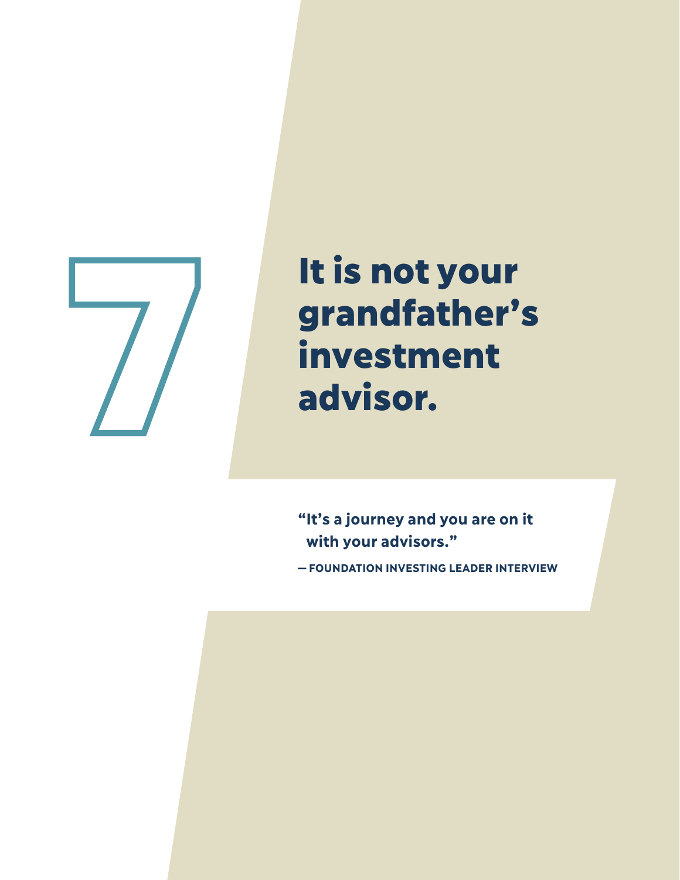

# It is not your grandfather's It is not your<br>grandfather<br>investment<br>advisor.

**" It's a journey and you are on it with your advisors."** 

**—FOUNDATION INVESTING LEADER INTERVIEW**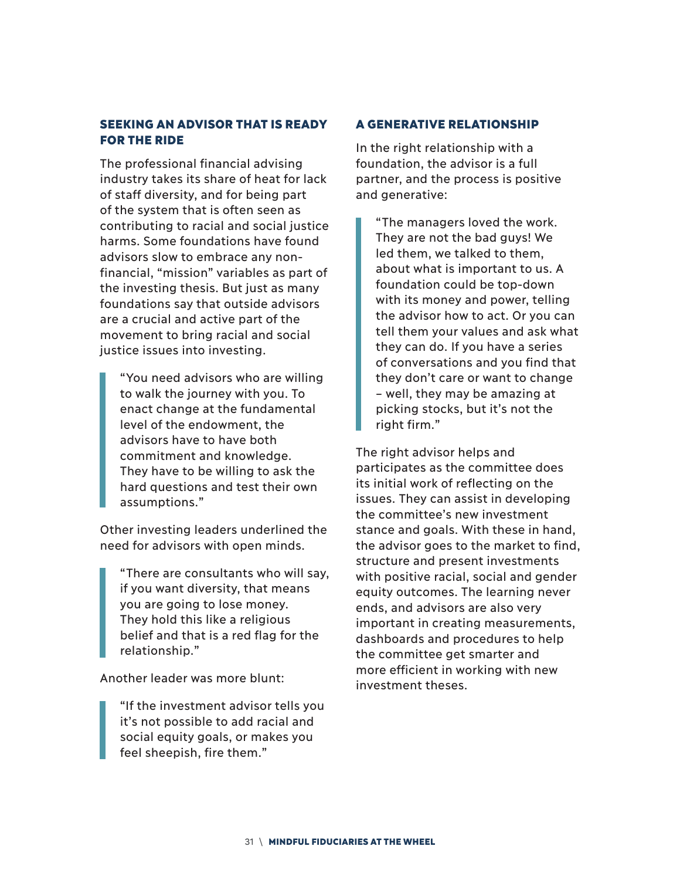#### SEEKING AN ADVISOR THAT IS READY FOR THE RIDE

The professional financial advising industry takes its share of heat for lack of staff diversity, and for being part of the system that is often seen as contributing to racial and social justice harms. Some foundations have found advisors slow to embrace any nonfinancial, "mission" variables as part of the investing thesis. But just as many foundations say that outside advisors are a crucial and active part of the movement to bring racial and social justice issues into investing.

"You need advisors who are willing to walk the journey with you. To enact change at the fundamental level of the endowment, the advisors have to have both commitment and knowledge. They have to be willing to ask the hard questions and test their own assumptions."

Other investing leaders underlined the need for advisors with open minds.

"There are consultants who will say, if you want diversity, that means you are going to lose money. They hold this like a religious belief and that is a red flag for the relationship."

Another leader was more blunt:

"If the investment advisor tells you it's not possible to add racial and social equity goals, or makes you feel sheepish, fire them."

#### A GENERATIVE RELATIONSHIP

In the right relationship with a foundation, the advisor is a full partner, and the process is positive and generative:

"The managers loved the work. They are not the bad guys! We led them, we talked to them, about what is important to us. A foundation could be top-down with its money and power, telling the advisor how to act. Or you can tell them your values and ask what they can do. If you have a series of conversations and you find that they don't care or want to change – well, they may be amazing at picking stocks, but it's not the right firm."

The right advisor helps and participates as the committee does its initial work of reflecting on the issues. They can assist in developing the committee's new investment stance and goals. With these in hand, the advisor goes to the market to find, structure and present investments with positive racial, social and gender equity outcomes. The learning never ends, and advisors are also very important in creating measurements, dashboards and procedures to help the committee get smarter and more efficient in working with new investment theses.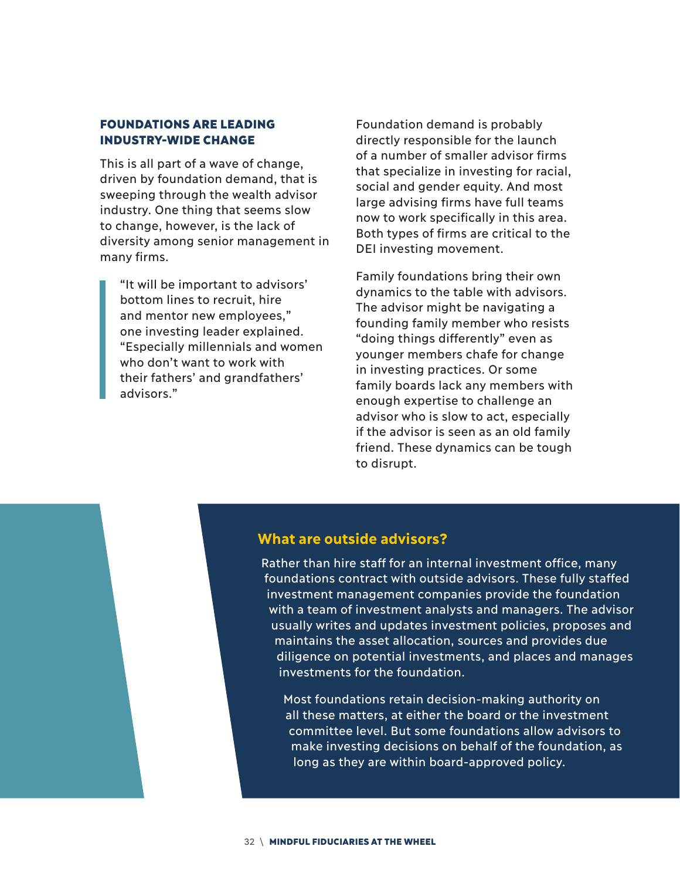#### FOUNDATIONS ARE LEADING INDUSTRY-WIDE CHANGE

This is all part of a wave of change, driven by foundation demand, that is sweeping through the wealth advisor industry. One thing that seems slow to change, however, is the lack of diversity among senior management in many firms.

"It will be important to advisors' bottom lines to recruit, hire and mentor new employees," one investing leader explained. "Especially millennials and women who don't want to work with their fathers' and grandfathers' advisors."

Foundation demand is probably directly responsible for the launch of a number of smaller advisor firms that specialize in investing for racial, social and gender equity. And most large advising firms have full teams now to work specifically in this area. Both types of firms are critical to the DEI investing movement.

Family foundations bring their own dynamics to the table with advisors. The advisor might be navigating a founding family member who resists "doing things differently" even as younger members chafe for change in investing practices. Or some family boards lack any members with enough expertise to challenge an advisor who is slow to act, especially if the advisor is seen as an old family friend. These dynamics can be tough to disrupt.

#### **What are outside advisors?**

Rather than hire staff for an internal investment office, many foundations contract with outside advisors. These fully staffed investment management companies provide the foundation with a team of investment analysts and managers. The advisor usually writes and updates investment policies, proposes and maintains the asset allocation, sources and provides due diligence on potential investments, and places and manages investments for the foundation.

Most foundations retain decision-making authority on all these matters, at either the board or the investment committee level. But some foundations allow advisors to make investing decisions on behalf of the foundation, as long as they are within board-approved policy.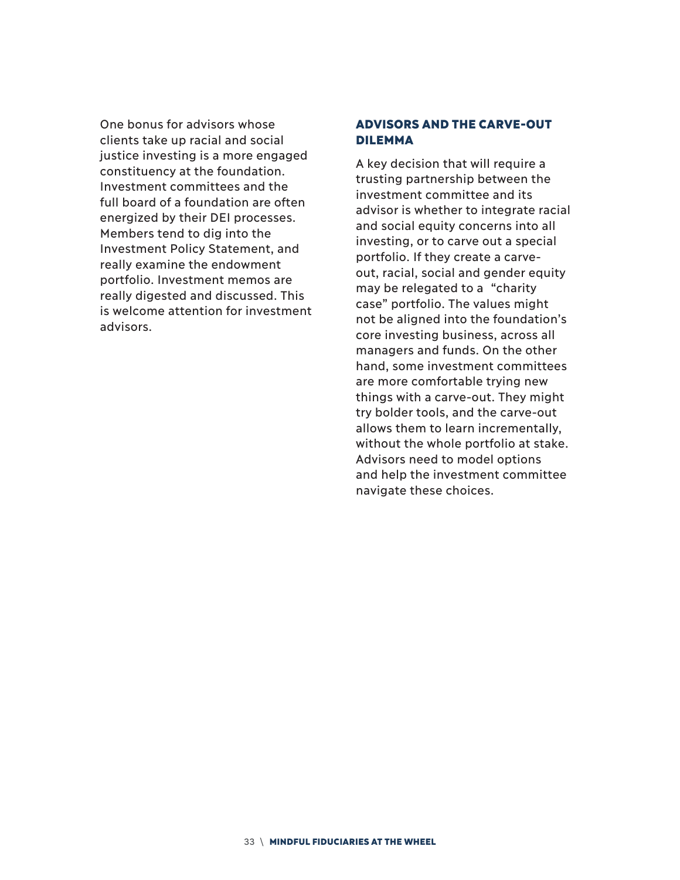One bonus for advisors whose clients take up racial and social justice investing is a more engaged constituency at the foundation. Investment committees and the full board of a foundation are often energized by their DEI processes. Members tend to dig into the Investment Policy Statement, and really examine the endowment portfolio. Investment memos are really digested and discussed. This is welcome attention for investment advisors.

#### ADVISORS AND THE CARVE-OUT DILEMMA

A key decision that will require a trusting partnership between the investment committee and its advisor is whether to integrate racial and social equity concerns into all investing, or to carve out a special portfolio. If they create a carveout, racial, social and gender equity may be relegated to a "charity case" portfolio. The values might not be aligned into the foundation's core investing business, across all managers and funds. On the other hand, some investment committees are more comfortable trying new things with a carve-out. They might try bolder tools, and the carve-out allows them to learn incrementally, without the whole portfolio at stake. Advisors need to model options and help the investment committee navigate these choices.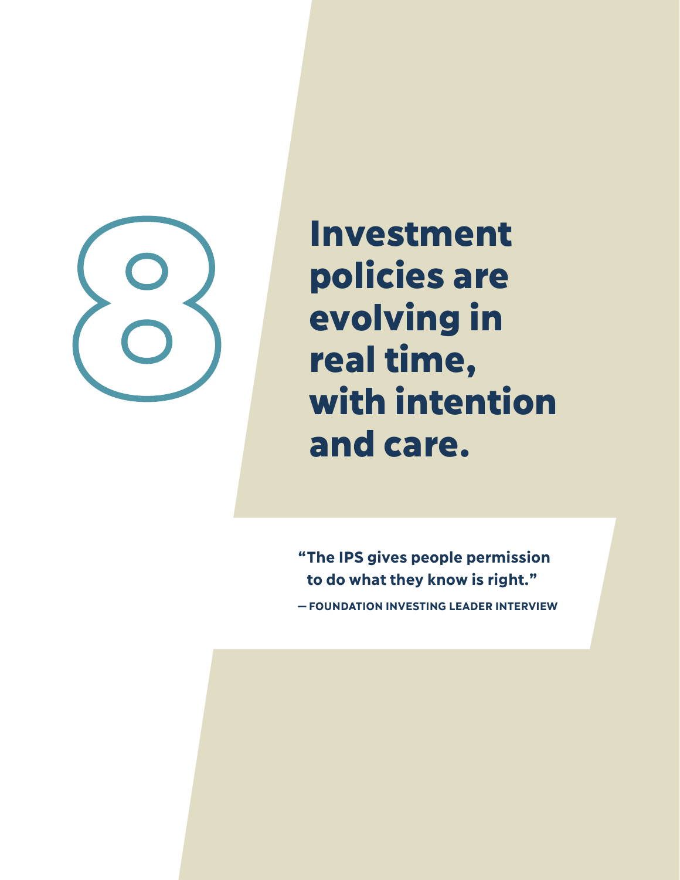

Investment policies are evolving in real time, Investment<br>
policies are<br>
evolving in<br>
real time,<br>
with intention and care.

> **" The IPS gives people permission to do what they know is right." — FOUNDATION INVESTING LEADER INTERVIEW**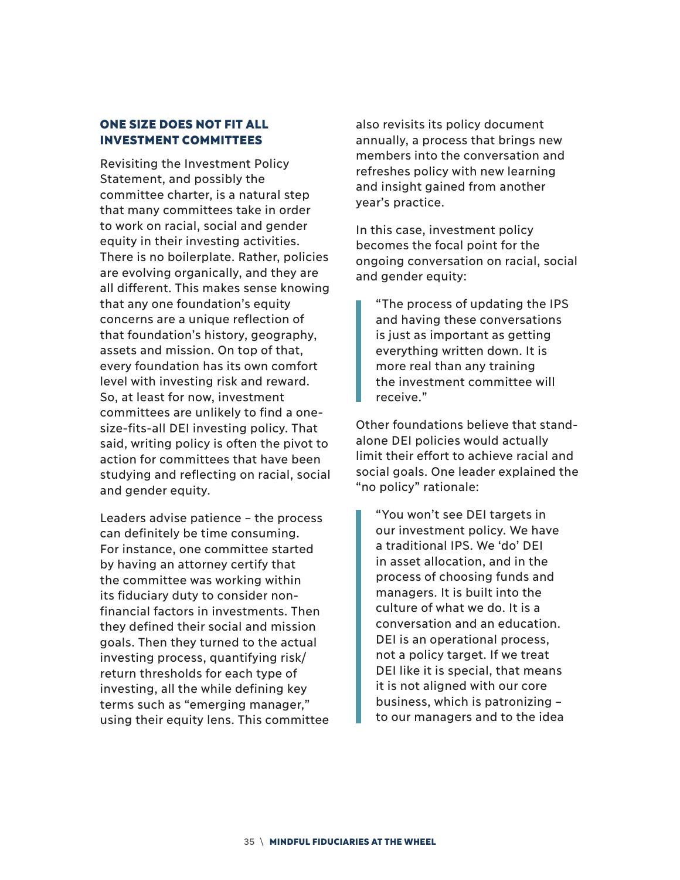#### ONE SIZE DOES NOT FIT ALL INVESTMENT COMMITTEES

Revisiting the Investment Policy Statement, and possibly the committee charter, is a natural step that many committees take in order to work on racial, social and gender equity in their investing activities. There is no boilerplate. Rather, policies are evolving organically, and they are all different. This makes sense knowing that any one foundation's equity concerns are a unique reflection of that foundation's history, geography, assets and mission. On top of that, every foundation has its own comfort level with investing risk and reward. So, at least for now, investment committees are unlikely to find a onesize-fits-all DEI investing policy. That said, writing policy is often the pivot to action for committees that have been studying and reflecting on racial, social and gender equity.

Leaders advise patience – the process can definitely be time consuming. For instance, one committee started by having an attorney certify that the committee was working within its fiduciary duty to consider nonfinancial factors in investments. Then they defined their social and mission goals. Then they turned to the actual investing process, quantifying risk/ return thresholds for each type of investing, all the while defining key terms such as "emerging manager," using their equity lens. This committee also revisits its policy document annually, a process that brings new members into the conversation and refreshes policy with new learning and insight gained from another year's practice.

In this case, investment policy becomes the focal point for the ongoing conversation on racial, social and gender equity:

"The process of updating the IPS and having these conversations is just as important as getting everything written down. It is more real than any training the investment committee will receive."

Other foundations believe that standalone DEI policies would actually limit their effort to achieve racial and social goals. One leader explained the "no policy" rationale:

"You won't see DEI targets in our investment policy. We have a traditional IPS. We 'do' DEI in asset allocation, and in the process of choosing funds and managers. It is built into the culture of what we do. It is a conversation and an education. DEI is an operational process, not a policy target. If we treat DEI like it is special, that means it is not aligned with our core business, which is patronizing – to our managers and to the idea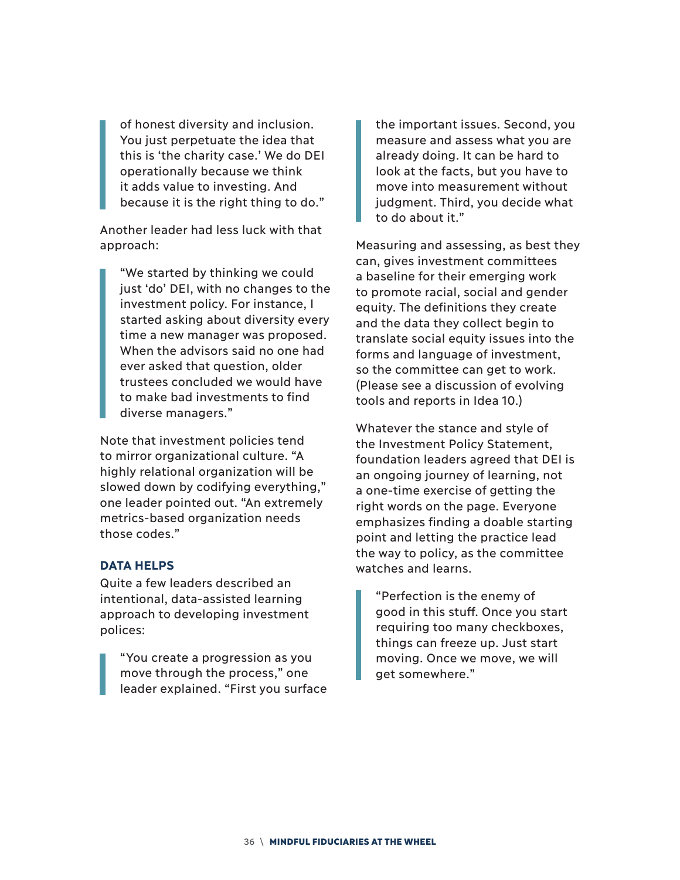of honest diversity and inclusion. You just perpetuate the idea that this is 'the charity case.' We do DEI operationally because we think it adds value to investing. And because it is the right thing to do."

Another leader had less luck with that approach:

"We started by thinking we could just 'do' DEI, with no changes to the investment policy. For instance, I started asking about diversity every time a new manager was proposed. When the advisors said no one had ever asked that question, older trustees concluded we would have to make bad investments to find diverse managers."

Note that investment policies tend to mirror organizational culture. "A highly relational organization will be slowed down by codifying everything," one leader pointed out. "An extremely metrics-based organization needs those codes."

#### **DATA HELPS**

Quite a few leaders described an intentional, data-assisted learning approach to developing investment polices:

"You create a progression as you move through the process," one leader explained. "First you surface

the important issues. Second, you measure and assess what you are already doing. It can be hard to look at the facts, but you have to move into measurement without judgment. Third, you decide what to do about it."

Measuring and assessing, as best they can, gives investment committees a baseline for their emerging work to promote racial, social and gender equity. The definitions they create and the data they collect begin to translate social equity issues into the forms and language of investment, so the committee can get to work. (Please see a discussion of evolving tools and reports in Idea 10.)

Whatever the stance and style of the Investment Policy Statement, foundation leaders agreed that DEI is an ongoing journey of learning, not a one-time exercise of getting the right words on the page. Everyone emphasizes finding a doable starting point and letting the practice lead the way to policy, as the committee watches and learns.

"Perfection is the enemy of good in this stuff. Once you start requiring too many checkboxes, things can freeze up. Just start moving. Once we move, we will get somewhere."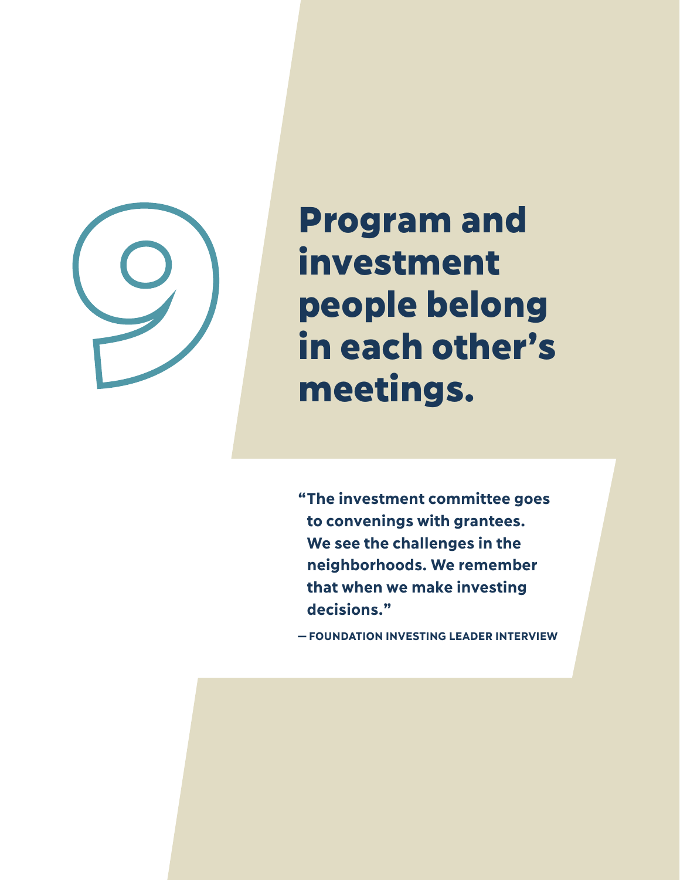

Program and investment people belong **Example 18 millions in each other's meetings.** 

> **" The investment committee goes to convenings with grantees. We see the challenges in the neighborhoods. We remember that when we make investing decisions."**

**—FOUNDATION INVESTING LEADER INTERVIEW**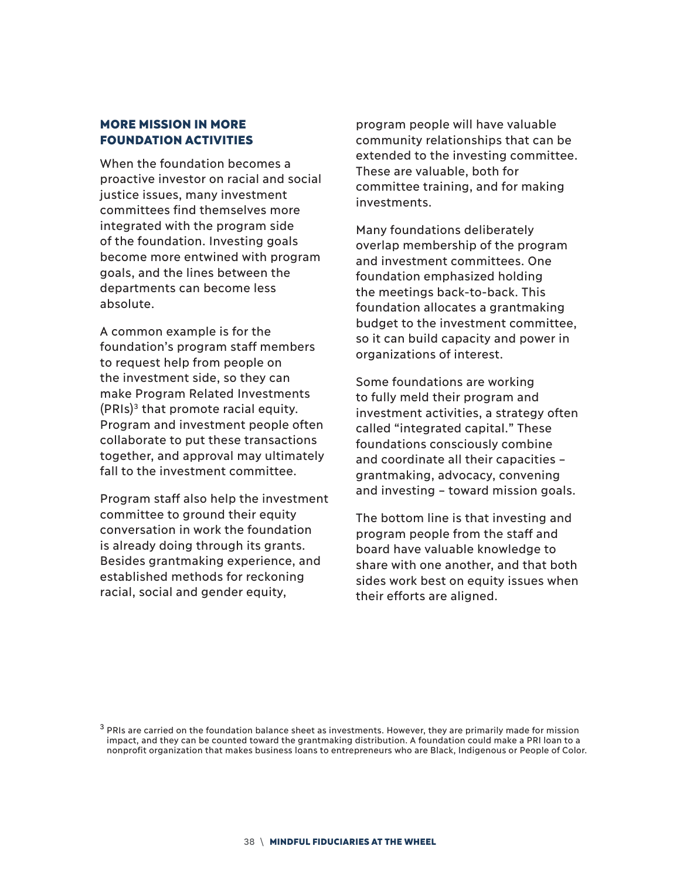#### MORE MISSION IN MORE FOUNDATION ACTIVITIES

When the foundation becomes a proactive investor on racial and social justice issues, many investment committees find themselves more integrated with the program side of the foundation. Investing goals become more entwined with program goals, and the lines between the departments can become less absolute.

A common example is for the foundation's program staff members to request help from people on the investment side, so they can make Program Related Investments  $(PRIs)<sup>3</sup>$  that promote racial equity. Program and investment people often collaborate to put these transactions together, and approval may ultimately fall to the investment committee.

Program staff also help the investment committee to ground their equity conversation in work the foundation is already doing through its grants. Besides grantmaking experience, and established methods for reckoning racial, social and gender equity,

program people will have valuable community relationships that can be extended to the investing committee. These are valuable, both for committee training, and for making investments.

Many foundations deliberately overlap membership of the program and investment committees. One foundation emphasized holding the meetings back-to-back. This foundation allocates a grantmaking budget to the investment committee, so it can build capacity and power in organizations of interest.

Some foundations are working to fully meld their program and investment activities, a strategy often called "integrated capital." These foundations consciously combine and coordinate all their capacities – grantmaking, advocacy, convening and investing – toward mission goals.

The bottom line is that investing and program people from the staff and board have valuable knowledge to share with one another, and that both sides work best on equity issues when their efforts are aligned.

<sup>3</sup> PRIs are carried on the foundation balance sheet as investments. However, they are primarily made for mission impact, and they can be counted toward the grantmaking distribution. A foundation could make a PRI loan to a nonprofit organization that makes business loans to entrepreneurs who are Black, Indigenous or People of Color.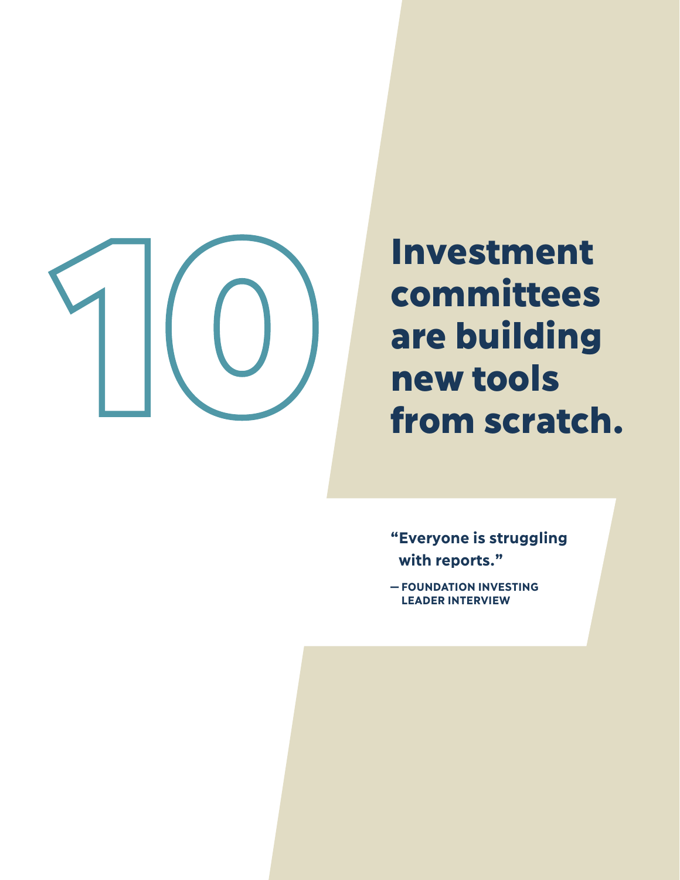

# Investment committees are building

- **" Everyone is struggling with reports."**
- **FOUNDATION INVESTING LEADER INTERVIEW**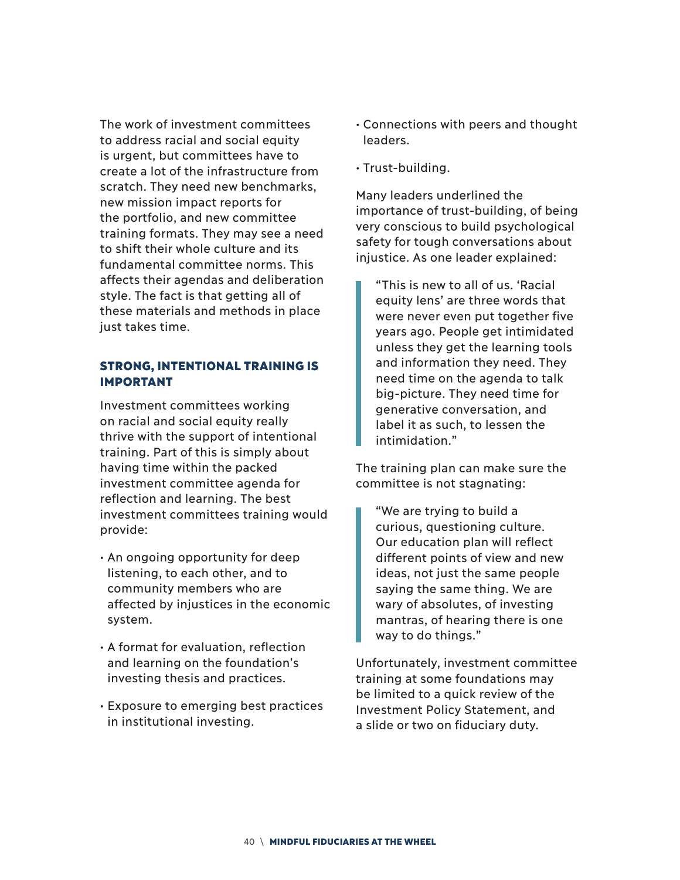The work of investment committees to address racial and social equity is urgent, but committees have to create a lot of the infrastructure from scratch. They need new benchmarks, new mission impact reports for the portfolio, and new committee training formats. They may see a need to shift their whole culture and its fundamental committee norms. This affects their agendas and deliberation style. The fact is that getting all of these materials and methods in place just takes time.

#### STRONG, INTENTIONAL TRAINING IS IMPORTANT

Investment committees working on racial and social equity really thrive with the support of intentional training. Part of this is simply about having time within the packed investment committee agenda for reflection and learning. The best investment committees training would provide:

- An ongoing opportunity for deep listening, to each other, and to community members who are affected by injustices in the economic system.
- A format for evaluation, reflection and learning on the foundation's investing thesis and practices.
- Exposure to emerging best practices in institutional investing.
- Connections with peers and thought leaders.
- Trust-building.

Many leaders underlined the importance of trust-building, of being very conscious to build psychological safety for tough conversations about injustice. As one leader explained:

"This is new to all of us. 'Racial equity lens' are three words that were never even put together five years ago. People get intimidated unless they get the learning tools and information they need. They need time on the agenda to talk big-picture. They need time for generative conversation, and label it as such, to lessen the intimidation."

The training plan can make sure the committee is not stagnating:

"We are trying to build a curious, questioning culture. Our education plan will reflect different points of view and new ideas, not just the same people saying the same thing. We are wary of absolutes, of investing mantras, of hearing there is one way to do things."

Unfortunately, investment committee training at some foundations may be limited to a quick review of the Investment Policy Statement, and a slide or two on fiduciary duty.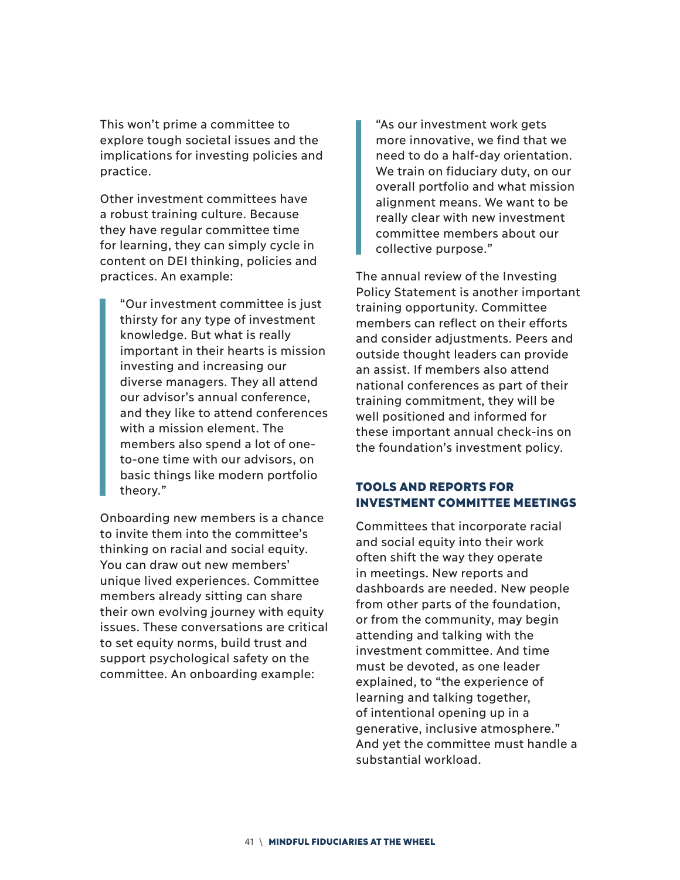This won't prime a committee to explore tough societal issues and the implications for investing policies and practice.

Other investment committees have a robust training culture. Because they have regular committee time for learning, they can simply cycle in content on DEI thinking, policies and practices. An example:

"Our investment committee is just thirsty for any type of investment knowledge. But what is really important in their hearts is mission investing and increasing our diverse managers. They all attend our advisor's annual conference, and they like to attend conferences with a mission element. The members also spend a lot of oneto-one time with our advisors, on basic things like modern portfolio theory."

Onboarding new members is a chance to invite them into the committee's thinking on racial and social equity. You can draw out new members' unique lived experiences. Committee members already sitting can share their own evolving journey with equity issues. These conversations are critical to set equity norms, build trust and support psychological safety on the committee. An onboarding example:

"As our investment work gets more innovative, we find that we need to do a half-day orientation. We train on fiduciary duty, on our overall portfolio and what mission alignment means. We want to be really clear with new investment committee members about our collective purpose."

The annual review of the Investing Policy Statement is another important training opportunity. Committee members can reflect on their efforts and consider adjustments. Peers and outside thought leaders can provide an assist. If members also attend national conferences as part of their training commitment, they will be well positioned and informed for these important annual check-ins on the foundation's investment policy.

#### TOOLS AND REPORTS FOR INVESTMENT COMMITTEE MEETINGS

Committees that incorporate racial and social equity into their work often shift the way they operate in meetings. New reports and dashboards are needed. New people from other parts of the foundation, or from the community, may begin attending and talking with the investment committee. And time must be devoted, as one leader explained, to "the experience of learning and talking together, of intentional opening up in a generative, inclusive atmosphere." And yet the committee must handle a substantial workload.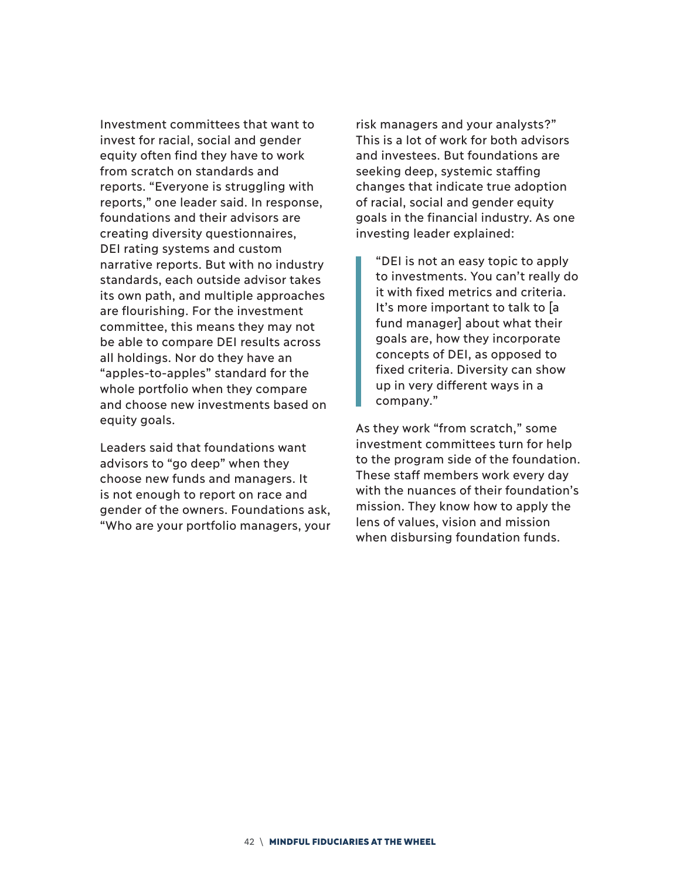Investment committees that want to invest for racial, social and gender equity often find they have to work from scratch on standards and reports. "Everyone is struggling with reports," one leader said. In response, foundations and their advisors are creating diversity questionnaires, DEI rating systems and custom narrative reports. But with no industry standards, each outside advisor takes its own path, and multiple approaches are flourishing. For the investment committee, this means they may not be able to compare DEI results across all holdings. Nor do they have an "apples-to-apples" standard for the whole portfolio when they compare and choose new investments based on equity goals.

Leaders said that foundations want advisors to "go deep" when they choose new funds and managers. It is not enough to report on race and gender of the owners. Foundations ask, "Who are your portfolio managers, your risk managers and your analysts?" This is a lot of work for both advisors and investees. But foundations are seeking deep, systemic staffing changes that indicate true adoption of racial, social and gender equity goals in the financial industry. As one investing leader explained:

"DEI is not an easy topic to apply to investments. You can't really do it with fixed metrics and criteria. It's more important to talk to [a fund manager] about what their goals are, how they incorporate concepts of DEI, as opposed to fixed criteria. Diversity can show up in very different ways in a company."

As they work "from scratch," some investment committees turn for help to the program side of the foundation. These staff members work every day with the nuances of their foundation's mission. They know how to apply the lens of values, vision and mission when disbursing foundation funds.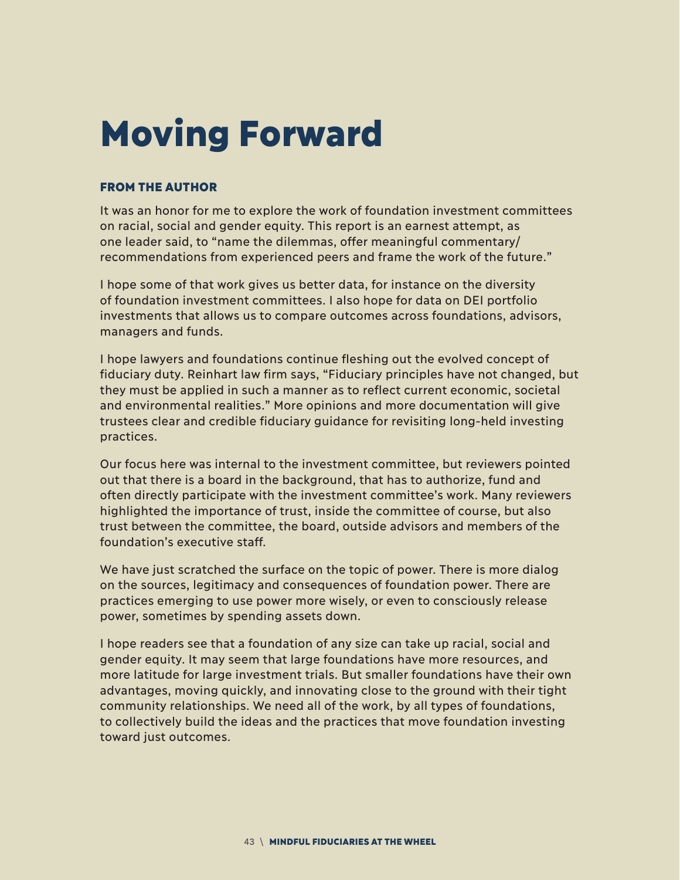## Moving Forward

#### FROM THE AUTHOR

It was an honor for me to explore the work of foundation investment committees on racial, social and gender equity. This report is an earnest attempt, as one leader said, to "name the dilemmas, offer meaningful commentary/ recommendations from experienced peers and frame the work of the future."

I hope some of that work gives us better data, for instance on the diversity of foundation investment committees. I also hope for data on DEI portfolio investments that allows us to compare outcomes across foundations, advisors, managers and funds.

I hope lawyers and foundations continue fleshing out the evolved concept of fiduciary duty. Reinhart law firm says, "Fiduciary principles have not changed, but they must be applied in such a manner as to reflect current economic, societal and environmental realities." More opinions and more documentation will give trustees clear and credible fiduciary guidance for revisiting long-held investing practices.

Our focus here was internal to the investment committee, but reviewers pointed out that there is a board in the background, that has to authorize, fund and often directly participate with the investment committee's work. Many reviewers highlighted the importance of trust, inside the committee of course, but also trust between the committee, the board, outside advisors and members of the foundation's executive staff.

We have just scratched the surface on the topic of power. There is more dialog on the sources, legitimacy and consequences of foundation power. There are practices emerging to use power more wisely, or even to consciously release power, sometimes by spending assets down.

I hope readers see that a foundation of any size can take up racial, social and gender equity. It may seem that large foundations have more resources, and more latitude for large investment trials. But smaller foundations have their own advantages, moving quickly, and innovating close to the ground with their tight community relationships. We need all of the work, by all types of foundations, to collectively build the ideas and the practices that move foundation investing toward just outcomes.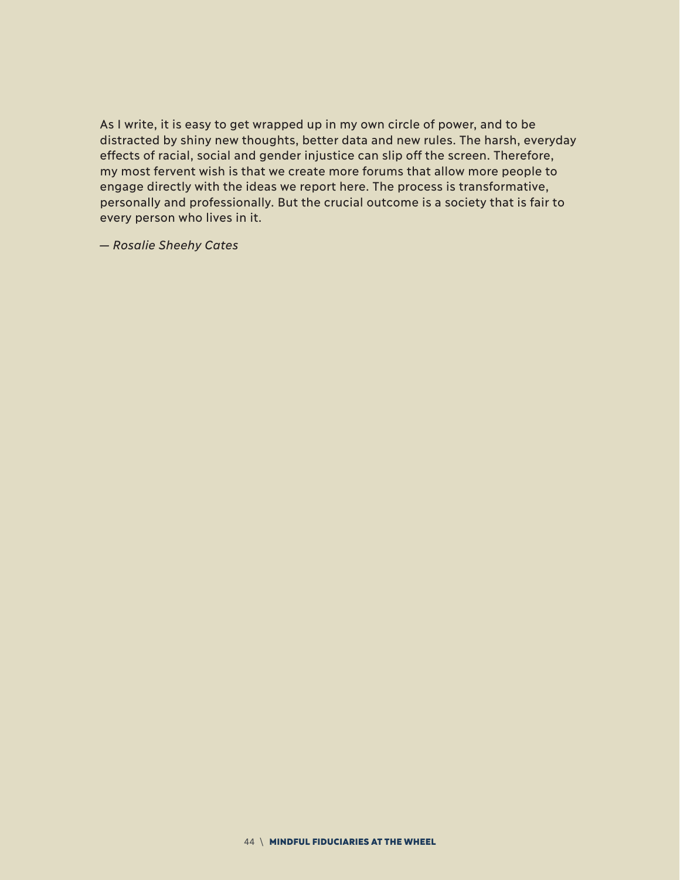As I write, it is easy to get wrapped up in my own circle of power, and to be distracted by shiny new thoughts, better data and new rules. The harsh, everyday effects of racial, social and gender injustice can slip off the screen. Therefore, my most fervent wish is that we create more forums that allow more people to engage directly with the ideas we report here. The process is transformative, personally and professionally. But the crucial outcome is a society that is fair to every person who lives in it.

*— Rosalie Sheehy Cates*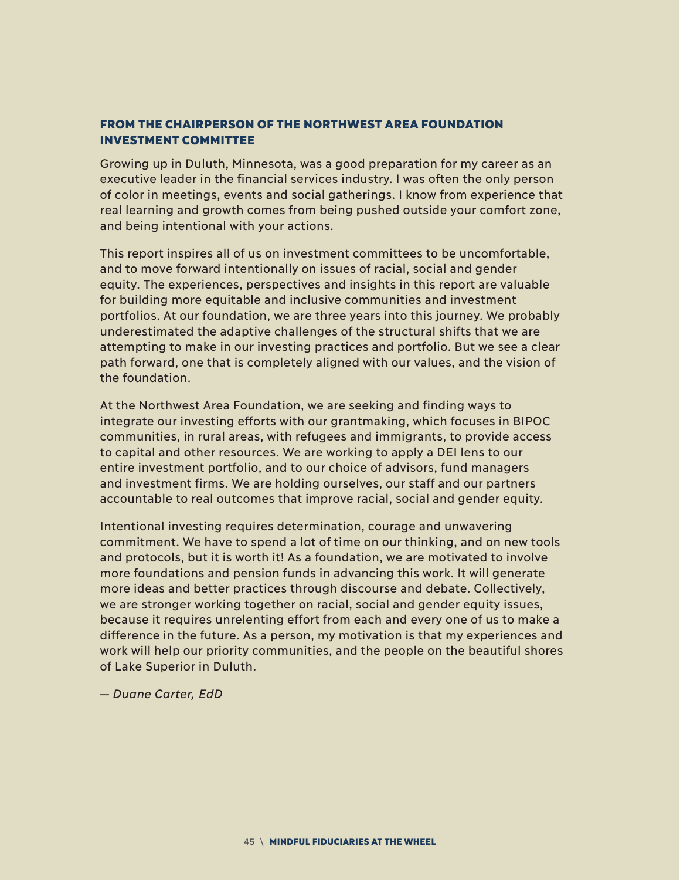#### FROM THE CHAIRPERSON OF THE NORTHWEST AREA FOUNDATION INVESTMENT COMMITTEE

Growing up in Duluth, Minnesota, was a good preparation for my career as an executive leader in the financial services industry. I was often the only person of color in meetings, events and social gatherings. I know from experience that real learning and growth comes from being pushed outside your comfort zone, and being intentional with your actions.

This report inspires all of us on investment committees to be uncomfortable, and to move forward intentionally on issues of racial, social and gender equity. The experiences, perspectives and insights in this report are valuable for building more equitable and inclusive communities and investment portfolios. At our foundation, we are three years into this journey. We probably underestimated the adaptive challenges of the structural shifts that we are attempting to make in our investing practices and portfolio. But we see a clear path forward, one that is completely aligned with our values, and the vision of the foundation.

At the Northwest Area Foundation, we are seeking and finding ways to integrate our investing efforts with our grantmaking, which focuses in BIPOC communities, in rural areas, with refugees and immigrants, to provide access to capital and other resources. We are working to apply a DEI lens to our entire investment portfolio, and to our choice of advisors, fund managers and investment firms. We are holding ourselves, our staff and our partners accountable to real outcomes that improve racial, social and gender equity.

Intentional investing requires determination, courage and unwavering commitment. We have to spend a lot of time on our thinking, and on new tools and protocols, but it is worth it! As a foundation, we are motivated to involve more foundations and pension funds in advancing this work. It will generate more ideas and better practices through discourse and debate. Collectively, we are stronger working together on racial, social and gender equity issues, because it requires unrelenting effort from each and every one of us to make a difference in the future. As a person, my motivation is that my experiences and work will help our priority communities, and the people on the beautiful shores of Lake Superior in Duluth.

*— Duane Carter, EdD*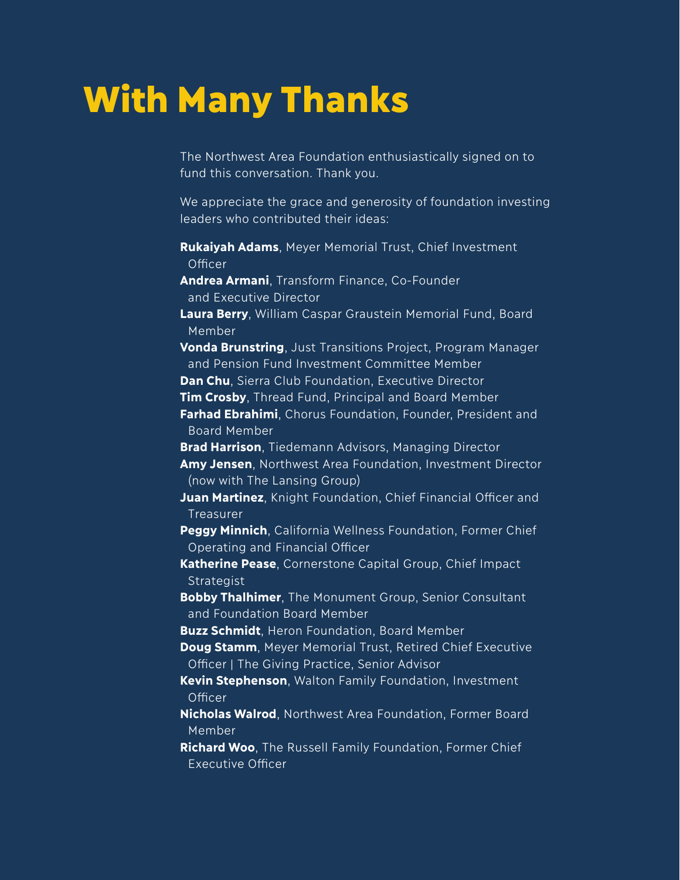### With Many Thanks

The Northwest Area Foundation enthusiastically signed on to fund this conversation. Thank you.

We appreciate the grace and generosity of foundation investing leaders who contributed their ideas:

- **Rukaiyah Adams**, Meyer Memorial Trust, Chief Investment **Officer**
- **Andrea Armani**, Transform Finance, Co-Founder and Executive Director
- **Laura Berry**, William Caspar Graustein Memorial Fund, Board Member

**Vonda Brunstring**, Just Transitions Project, Program Manager and Pension Fund Investment Committee Member

**Dan Chu**, Sierra Club Foundation, Executive Director

**Tim Crosby**, Thread Fund, Principal and Board Member

**Farhad Ebrahimi**, Chorus Foundation, Founder, President and Board Member

**Brad Harrison**, Tiedemann Advisors, Managing Director

**Amy Jensen**, Northwest Area Foundation, Investment Director (now with The Lansing Group)

**Juan Martinez**, Knight Foundation, Chief Financial Officer and **Treasurer** 

**Peggy Minnich**, California Wellness Foundation, Former Chief Operating and Financial Officer

**Katherine Pease**, Cornerstone Capital Group, Chief Impact **Strategist** 

**Bobby Thalhimer**, The Monument Group, Senior Consultant and Foundation Board Member

**Buzz Schmidt**, Heron Foundation, Board Member

- **Doug Stamm**, Meyer Memorial Trust, Retired Chief Executive Officer | The Giving Practice, Senior Advisor
- **Kevin Stephenson**, Walton Family Foundation, Investment **Officer**
- **Nicholas Walrod**, Northwest Area Foundation, Former Board Member

**Richard Woo**, The Russell Family Foundation, Former Chief Executive Officer